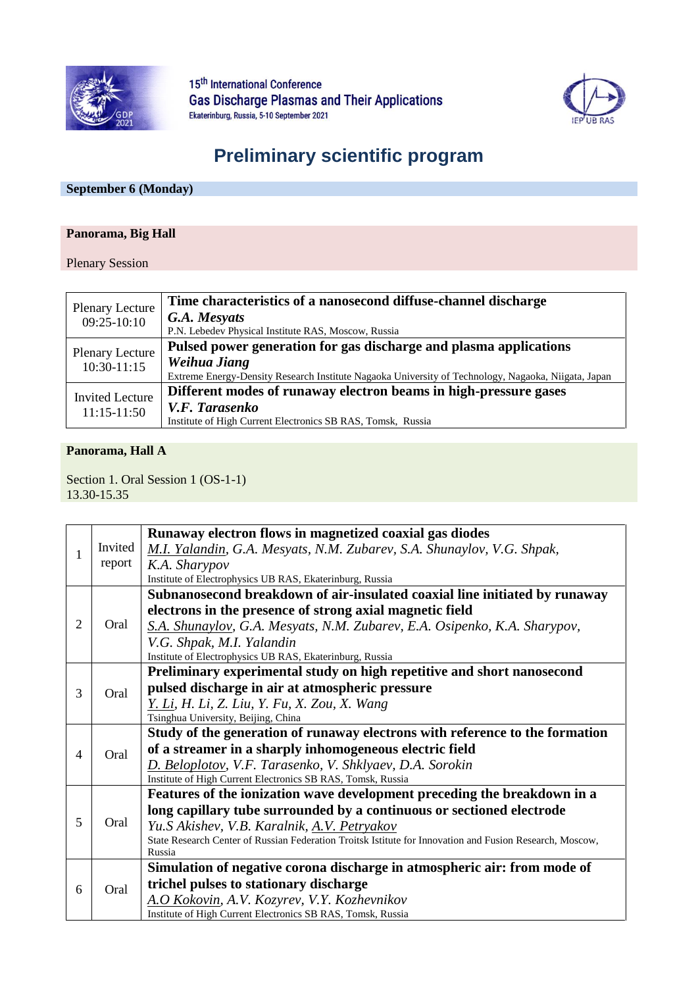

15<sup>th</sup> International Conference **Gas Discharge Plasmas and Their Applications** Ekaterinburg, Russia, 5-10 September 2021



# **Preliminary scientific program**

## **September 6 (Monday)**

#### **Panorama, Big Hall**

#### Plenary Session

| <b>Plenary Lecture</b> | Time characteristics of a nanosecond diffuse-channel discharge                                      |
|------------------------|-----------------------------------------------------------------------------------------------------|
| $09:25-10:10$          | G.A. Mesyats                                                                                        |
|                        | P.N. Lebedev Physical Institute RAS, Moscow, Russia                                                 |
| <b>Plenary Lecture</b> | Pulsed power generation for gas discharge and plasma applications                                   |
| $10:30-11:15$          | Weihua Jiang                                                                                        |
|                        | Extreme Energy-Density Research Institute Nagaoka University of Technology, Nagaoka, Niigata, Japan |
| <b>Invited Lecture</b> | Different modes of runaway electron beams in high-pressure gases                                    |
| $11:15-11:50$          | V.F. Tarasenko                                                                                      |
|                        | Institute of High Current Electronics SB RAS, Tomsk, Russia                                         |

#### **Panorama, Hall A**

Section 1. Oral Session 1 (OS-1-1) 13.30-15.35

|                |         | Runaway electron flows in magnetized coaxial gas diodes                                                  |
|----------------|---------|----------------------------------------------------------------------------------------------------------|
|                | Invited | M.I. Yalandin, G.A. Mesyats, N.M. Zubarev, S.A. Shunaylov, V.G. Shpak,                                   |
|                | report  | K.A. Sharypov                                                                                            |
|                |         | Institute of Electrophysics UB RAS, Ekaterinburg, Russia                                                 |
|                |         | Subnanosecond breakdown of air-insulated coaxial line initiated by runaway                               |
|                |         | electrons in the presence of strong axial magnetic field                                                 |
| $\overline{2}$ | Oral    | S.A. Shunaylov, G.A. Mesyats, N.M. Zubarev, E.A. Osipenko, K.A. Sharypov,                                |
|                |         | V.G. Shpak, M.I. Yalandin                                                                                |
|                |         | Institute of Electrophysics UB RAS, Ekaterinburg, Russia                                                 |
|                |         | Preliminary experimental study on high repetitive and short nanosecond                                   |
| 3              | Oral    | pulsed discharge in air at atmospheric pressure                                                          |
|                |         | Y. Li, H. Li, Z. Liu, Y. Fu, X. Zou, X. Wang                                                             |
|                |         | Tsinghua University, Beijing, China                                                                      |
|                | Oral    | Study of the generation of runaway electrons with reference to the formation                             |
| 4              |         | of a streamer in a sharply inhomogeneous electric field                                                  |
|                |         | D. Beloplotov, V.F. Tarasenko, V. Shklyaev, D.A. Sorokin                                                 |
|                |         | Institute of High Current Electronics SB RAS, Tomsk, Russia                                              |
|                |         | Features of the ionization wave development preceding the breakdown in a                                 |
|                |         | long capillary tube surrounded by a continuous or sectioned electrode                                    |
| 5              | Oral    | Yu.S Akishev, V.B. Karalnik, A.V. Petryakov                                                              |
|                |         | State Research Center of Russian Federation Troitsk Istitute for Innovation and Fusion Research, Moscow, |
|                |         | Russia                                                                                                   |
|                |         | Simulation of negative corona discharge in atmospheric air: from mode of                                 |
| 6              | Oral    | trichel pulses to stationary discharge                                                                   |
|                |         | A.O Kokovin, A.V. Kozyrev, V.Y. Kozhevnikov                                                              |
|                |         | Institute of High Current Electronics SB RAS, Tomsk, Russia                                              |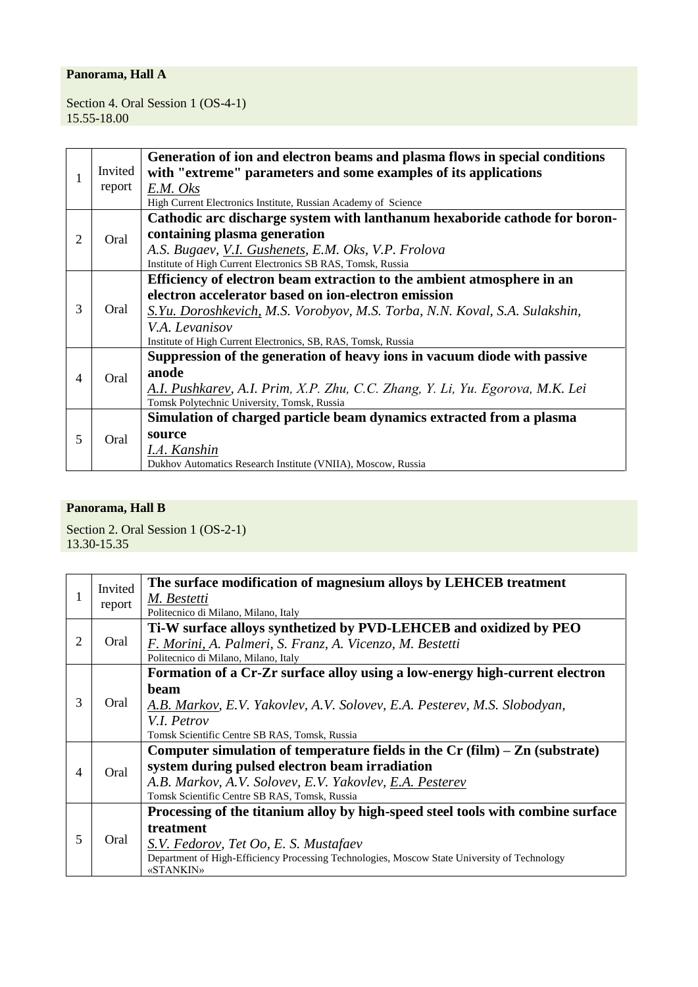Section 4. Oral Session 1 (OS-4-1) 15.55-18.00

|                |         | Generation of ion and electron beams and plasma flows in special conditions   |
|----------------|---------|-------------------------------------------------------------------------------|
|                | Invited | with "extreme" parameters and some examples of its applications               |
|                | report  | E.M. Oks                                                                      |
|                |         | High Current Electronics Institute, Russian Academy of Science                |
|                |         | Cathodic arc discharge system with lanthanum hexaboride cathode for boron-    |
| 2              | Oral    | containing plasma generation                                                  |
|                |         | A.S. Bugaev, V.I. Gushenets, E.M. Oks, V.P. Frolova                           |
|                |         | Institute of High Current Electronics SB RAS, Tomsk, Russia                   |
|                |         | Efficiency of electron beam extraction to the ambient atmosphere in an        |
|                | Oral    | electron accelerator based on ion-electron emission                           |
| 3              |         | S.Yu. Doroshkevich, M.S. Vorobyov, M.S. Torba, N.N. Koval, S.A. Sulakshin,    |
|                |         | V.A. Levanisov                                                                |
|                |         | Institute of High Current Electronics, SB, RAS, Tomsk, Russia                 |
|                | Oral    | Suppression of the generation of heavy ions in vacuum diode with passive      |
| $\overline{4}$ |         | anode                                                                         |
|                |         | A.I. Pushkarev, A.I. Prim, X.P. Zhu, C.C. Zhang, Y. Li, Yu. Egorova, M.K. Lei |
|                |         | Tomsk Polytechnic University, Tomsk, Russia                                   |
|                |         | Simulation of charged particle beam dynamics extracted from a plasma          |
| 5              | Oral    | source                                                                        |
|                |         | I.A. Kanshin                                                                  |
|                |         | Dukhov Automatics Research Institute (VNIIA), Moscow, Russia                  |

## **Panorama, Hall B**

Section 2. Oral Session 1 (OS-2-1) 13.30-15.35

|                | Invited | The surface modification of magnesium alloys by LEHCEB treatment                             |
|----------------|---------|----------------------------------------------------------------------------------------------|
|                |         | M. Bestetti                                                                                  |
|                | report  | Politecnico di Milano, Milano, Italy                                                         |
|                |         | Ti-W surface alloys synthetized by PVD-LEHCEB and oxidized by PEO                            |
| 2              | Oral    | F. Morini, A. Palmeri, S. Franz, A. Vicenzo, M. Bestetti                                     |
|                |         | Politecnico di Milano, Milano, Italy                                                         |
|                |         | Formation of a Cr-Zr surface alloy using a low-energy high-current electron                  |
|                |         | beam                                                                                         |
| 3              | Oral    | A.B. Markov, E.V. Yakovlev, A.V. Solovev, E.A. Pesterev, M.S. Slobodyan,                     |
|                |         | V.I. Petrov                                                                                  |
|                |         | Tomsk Scientific Centre SB RAS, Tomsk, Russia                                                |
|                | Oral    | Computer simulation of temperature fields in the $Cr$ (film) $- Zn$ (substrate)              |
| $\overline{4}$ |         | system during pulsed electron beam irradiation                                               |
|                |         | A.B. Markov, A.V. Solovev, E.V. Yakovlev, E.A. Pesterev                                      |
|                |         | Tomsk Scientific Centre SB RAS, Tomsk, Russia                                                |
| 5              |         | Processing of the titanium alloy by high-speed steel tools with combine surface              |
|                |         | treatment                                                                                    |
|                | Oral    | S.V. Fedorov, Tet Oo, E. S. Mustafaev                                                        |
|                |         | Department of High-Efficiency Processing Technologies, Moscow State University of Technology |
|                |         | <b>«STANKIN»</b>                                                                             |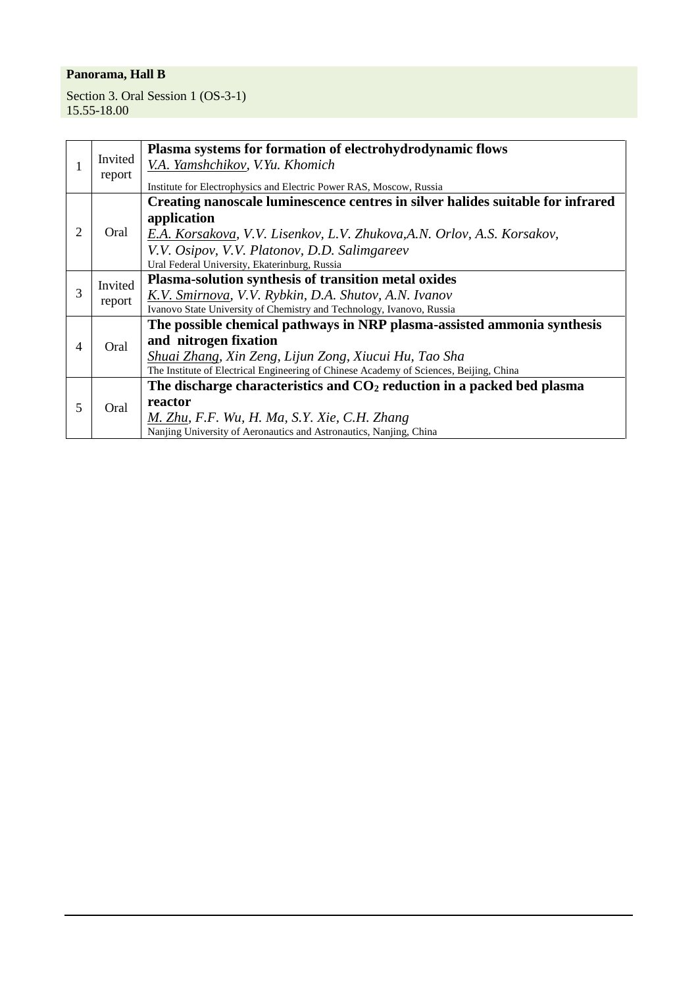Section 3. Oral Session 1 (OS-3-1) 15.55-18.00

|   |         | Plasma systems for formation of electrohydrodynamic flows                              |
|---|---------|----------------------------------------------------------------------------------------|
|   | Invited | V.A. Yamshchikov, V.Yu. Khomich                                                        |
|   | report  | Institute for Electrophysics and Electric Power RAS, Moscow, Russia                    |
|   |         | Creating nanoscale luminescence centres in silver halides suitable for infrared        |
|   |         |                                                                                        |
|   |         | application                                                                            |
| 2 | Oral    | E.A. Korsakova, V.V. Lisenkov, L.V. Zhukova, A.N. Orlov, A.S. Korsakov,                |
|   |         | V.V. Osipov, V.V. Platonov, D.D. Salimgareev                                           |
|   |         | Ural Federal University, Ekaterinburg, Russia                                          |
|   | Invited | Plasma-solution synthesis of transition metal oxides                                   |
| 3 |         | K.V. Smirnova, V.V. Rybkin, D.A. Shutov, A.N. Ivanov                                   |
|   | report  | Ivanovo State University of Chemistry and Technology, Ivanovo, Russia                  |
|   | Oral    | The possible chemical pathways in NRP plasma-assisted ammonia synthesis                |
| 4 |         | and nitrogen fixation                                                                  |
|   |         | Shuai Zhang, Xin Zeng, Lijun Zong, Xiucui Hu, Tao Sha                                  |
|   |         | The Institute of Electrical Engineering of Chinese Academy of Sciences, Beijing, China |
| 5 |         | The discharge characteristics and $CO2$ reduction in a packed bed plasma               |
|   | Oral    | reactor                                                                                |
|   |         | M. Zhu, F.F. Wu, H. Ma, S.Y. Xie, C.H. Zhang                                           |
|   |         | Nanjing University of Aeronautics and Astronautics, Nanjing, China                     |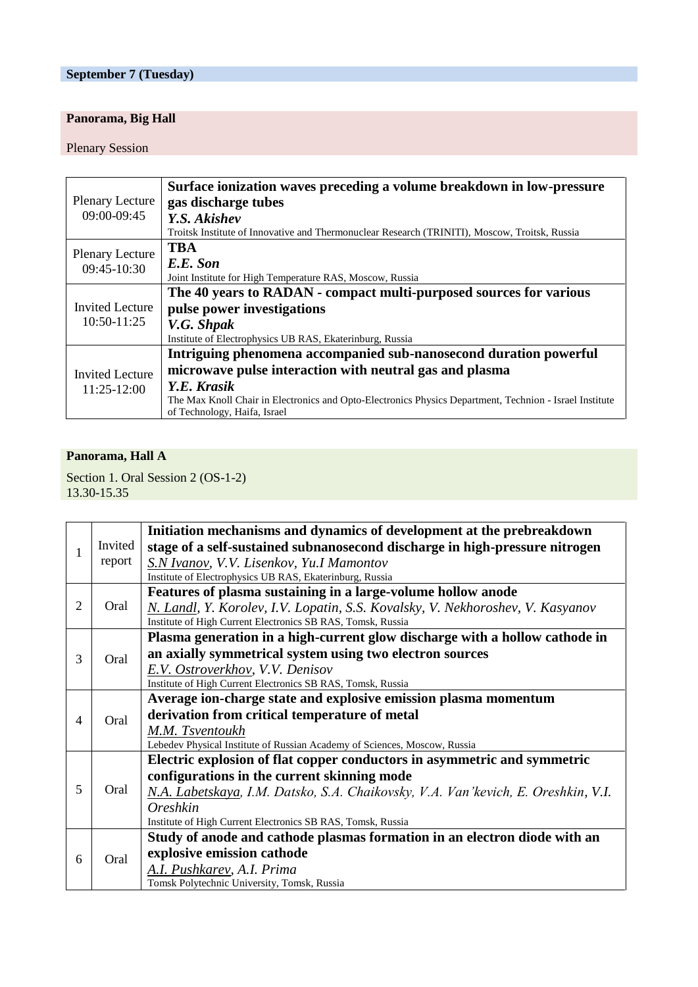# **September 7 (Tuesday)**

# **Panorama, Big Hall**

#### Plenary Session

|                        | Surface ionization waves preceding a volume breakdown in low-pressure                                   |
|------------------------|---------------------------------------------------------------------------------------------------------|
| <b>Plenary Lecture</b> | gas discharge tubes                                                                                     |
| 09:00-09:45            | Y.S. Akishev                                                                                            |
|                        | Troitsk Institute of Innovative and Thermonuclear Research (TRINITI), Moscow, Troitsk, Russia           |
| <b>Plenary Lecture</b> | <b>TBA</b>                                                                                              |
| 09:45-10:30            | E.E. Son                                                                                                |
|                        | Joint Institute for High Temperature RAS, Moscow, Russia                                                |
|                        | The 40 years to RADAN - compact multi-purposed sources for various                                      |
| Invited Lecture        | pulse power investigations                                                                              |
| $10:50-11:25$          | V.G. Shpak                                                                                              |
|                        | Institute of Electrophysics UB RAS, Ekaterinburg, Russia                                                |
|                        | Intriguing phenomena accompanied sub-nanosecond duration powerful                                       |
| <b>Invited Lecture</b> | microwave pulse interaction with neutral gas and plasma                                                 |
| $11:25-12:00$          | Y.E. Krasik                                                                                             |
|                        | The Max Knoll Chair in Electronics and Opto-Electronics Physics Department, Technion - Israel Institute |
|                        | of Technology, Haifa, Israel                                                                            |

#### **Panorama, Hall A**

Section 1. Oral Session 2 (OS-1-2) 13.30-15.35

|                |         | Initiation mechanisms and dynamics of development at the prebreakdown             |
|----------------|---------|-----------------------------------------------------------------------------------|
| 1              | Invited | stage of a self-sustained subnanosecond discharge in high-pressure nitrogen       |
|                | report  | S.N Ivanov, V.V. Lisenkov, Yu.I Mamontov                                          |
|                |         | Institute of Electrophysics UB RAS, Ekaterinburg, Russia                          |
|                |         | Features of plasma sustaining in a large-volume hollow anode                      |
| 2              | Oral    | N. Landl, Y. Korolev, I.V. Lopatin, S.S. Kovalsky, V. Nekhoroshev, V. Kasyanov    |
|                |         | Institute of High Current Electronics SB RAS, Tomsk, Russia                       |
|                |         | Plasma generation in a high-current glow discharge with a hollow cathode in       |
| 3              | Oral    | an axially symmetrical system using two electron sources                          |
|                |         | E.V. Ostroverkhov, V.V. Denisov                                                   |
|                |         | Institute of High Current Electronics SB RAS, Tomsk, Russia                       |
|                |         | Average ion-charge state and explosive emission plasma momentum                   |
| $\overline{4}$ | Oral    | derivation from critical temperature of metal                                     |
|                |         | M.M. Tsventoukh                                                                   |
|                |         | Lebedev Physical Institute of Russian Academy of Sciences, Moscow, Russia         |
|                | Oral    | Electric explosion of flat copper conductors in asymmetric and symmetric          |
|                |         | configurations in the current skinning mode                                       |
| 5              |         | N.A. Labetskaya, I.M. Datsko, S.A. Chaikovsky, V.A. Van'kevich, E. Oreshkin, V.I. |
|                |         | Oreshkin                                                                          |
|                |         | Institute of High Current Electronics SB RAS, Tomsk, Russia                       |
| 6              |         | Study of anode and cathode plasmas formation in an electron diode with an         |
|                | Oral    | explosive emission cathode                                                        |
|                |         | A.I. Pushkarev, A.I. Prima                                                        |
|                |         | Tomsk Polytechnic University, Tomsk, Russia                                       |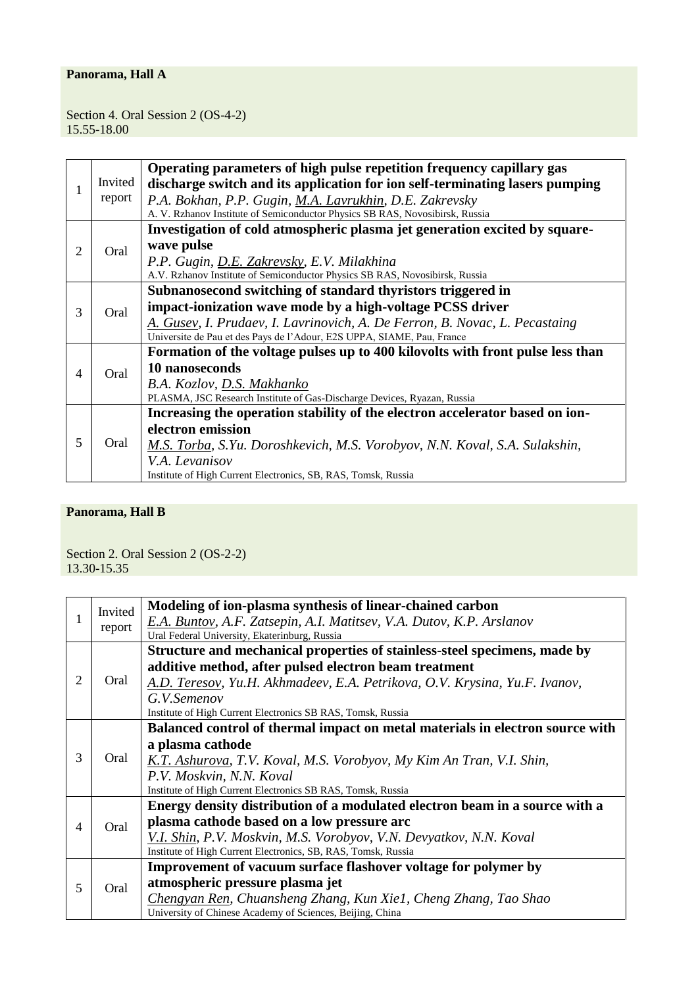Section 4. Oral Session 2 (OS-4-2) 15.55-18.00

|                |         | Operating parameters of high pulse repetition frequency capillary gas          |
|----------------|---------|--------------------------------------------------------------------------------|
|                | Invited | discharge switch and its application for ion self-terminating lasers pumping   |
|                | report  | P.A. Bokhan, P.P. Gugin, M.A. Lavrukhin, D.E. Zakrevsky                        |
|                |         | A. V. Rzhanov Institute of Semiconductor Physics SB RAS, Novosibirsk, Russia   |
|                |         | Investigation of cold atmospheric plasma jet generation excited by square-     |
| 2              | Oral    | wave pulse                                                                     |
|                |         | P.P. Gugin, D.E. Zakrevsky, E.V. Milakhina                                     |
|                |         | A.V. Rzhanov Institute of Semiconductor Physics SB RAS, Novosibirsk, Russia    |
|                |         | Subnanosecond switching of standard thyristors triggered in                    |
| 3              | Oral    | impact-ionization wave mode by a high-voltage PCSS driver                      |
|                |         | A. Gusev, I. Prudaev, I. Lavrinovich, A. De Ferron, B. Novac, L. Pecastaing    |
|                |         | Universite de Pau et des Pays de l'Adour, E2S UPPA, SIAME, Pau, France         |
|                | Oral    | Formation of the voltage pulses up to 400 kilovolts with front pulse less than |
| $\overline{4}$ |         | 10 nanoseconds                                                                 |
|                |         | B.A. Kozlov, D.S. Makhanko                                                     |
|                |         | PLASMA, JSC Research Institute of Gas-Discharge Devices, Ryazan, Russia        |
|                |         | Increasing the operation stability of the electron accelerator based on ion-   |
| 5              |         | electron emission                                                              |
|                | Oral    | M.S. Torba, S.Yu. Doroshkevich, M.S. Vorobyov, N.N. Koval, S.A. Sulakshin,     |
|                |         | V.A. Levanisov                                                                 |
|                |         | Institute of High Current Electronics, SB, RAS, Tomsk, Russia                  |

# **Panorama, Hall B**

Section 2. Oral Session 2 (OS-2-2) 13.30-15.35

|   | Invited<br>report | Modeling of ion-plasma synthesis of linear-chained carbon                     |
|---|-------------------|-------------------------------------------------------------------------------|
|   |                   | E.A. Buntov, A.F. Zatsepin, A.I. Matitsev, V.A. Dutov, K.P. Arslanov          |
|   |                   | Ural Federal University, Ekaterinburg, Russia                                 |
|   |                   | Structure and mechanical properties of stainless-steel specimens, made by     |
|   |                   | additive method, after pulsed electron beam treatment                         |
| 2 | Oral              | A.D. Teresov, Yu.H. Akhmadeev, E.A. Petrikova, O.V. Krysina, Yu.F. Ivanov,    |
|   |                   | G.V.Semenov                                                                   |
|   |                   | Institute of High Current Electronics SB RAS, Tomsk, Russia                   |
|   |                   | Balanced control of thermal impact on metal materials in electron source with |
|   |                   | a plasma cathode                                                              |
| 3 | Oral              | K.T. Ashurova, T.V. Koval, M.S. Vorobyov, My Kim An Tran, V.I. Shin,          |
|   |                   | P.V. Moskvin, N.N. Koval                                                      |
|   |                   | Institute of High Current Electronics SB RAS, Tomsk, Russia                   |
|   |                   | Energy density distribution of a modulated electron beam in a source with a   |
| 4 | Oral              | plasma cathode based on a low pressure arc                                    |
|   |                   | V.I. Shin, P.V. Moskvin, M.S. Vorobyov, V.N. Devyatkov, N.N. Koval            |
|   |                   | Institute of High Current Electronics, SB, RAS, Tomsk, Russia                 |
| 5 |                   | Improvement of vacuum surface flashover voltage for polymer by                |
|   | Oral              | atmospheric pressure plasma jet                                               |
|   |                   | Chengyan Ren, Chuansheng Zhang, Kun Xiel, Cheng Zhang, Tao Shao               |
|   |                   | University of Chinese Academy of Sciences, Beijing, China                     |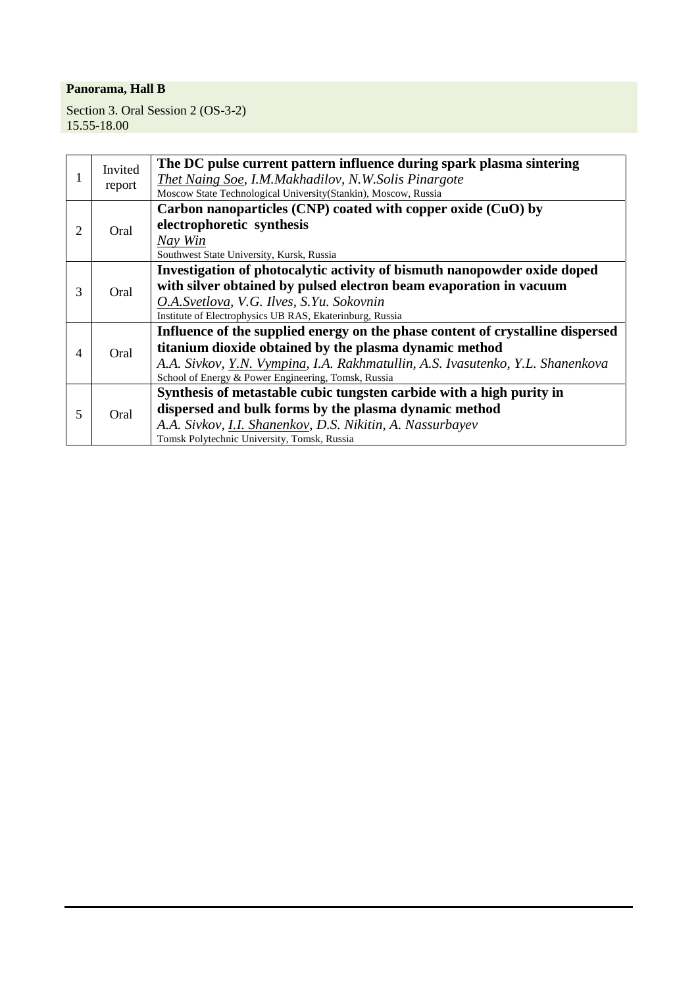Section 3. Oral Session 2 (OS-3-2) 15.55-18.00

|                | Invited<br>report | The DC pulse current pattern influence during spark plasma sintering           |
|----------------|-------------------|--------------------------------------------------------------------------------|
|                |                   | Thet Naing Soe, I.M.Makhadilov, N.W.Solis Pinargote                            |
|                |                   | Moscow State Technological University(Stankin), Moscow, Russia                 |
|                |                   | Carbon nanoparticles $(CNP)$ coated with copper oxide $(CuO)$ by               |
| $\overline{2}$ | Oral              | electrophoretic synthesis                                                      |
|                |                   | Nay Win                                                                        |
|                |                   | Southwest State University, Kursk, Russia                                      |
|                |                   | Investigation of photocalytic activity of bismuth nanopowder oxide doped       |
| 3              | Oral              | with silver obtained by pulsed electron beam evaporation in vacuum             |
|                |                   | O.A.Svetlova, V.G. Ilves, S.Yu. Sokovnin                                       |
|                |                   | Institute of Electrophysics UB RAS, Ekaterinburg, Russia                       |
|                | Oral              | Influence of the supplied energy on the phase content of crystalline dispersed |
| 4              |                   | titanium dioxide obtained by the plasma dynamic method                         |
|                |                   | A.A. Sivkov, Y.N. Vympina, I.A. Rakhmatullin, A.S. Ivasutenko, Y.L. Shanenkova |
|                |                   | School of Energy & Power Engineering, Tomsk, Russia                            |
|                |                   | Synthesis of metastable cubic tungsten carbide with a high purity in           |
| 5              | Oral              | dispersed and bulk forms by the plasma dynamic method                          |
|                |                   | A.A. Sivkov, I.I. Shanenkov, D.S. Nikitin, A. Nassurbayev                      |
|                |                   | Tomsk Polytechnic University, Tomsk, Russia                                    |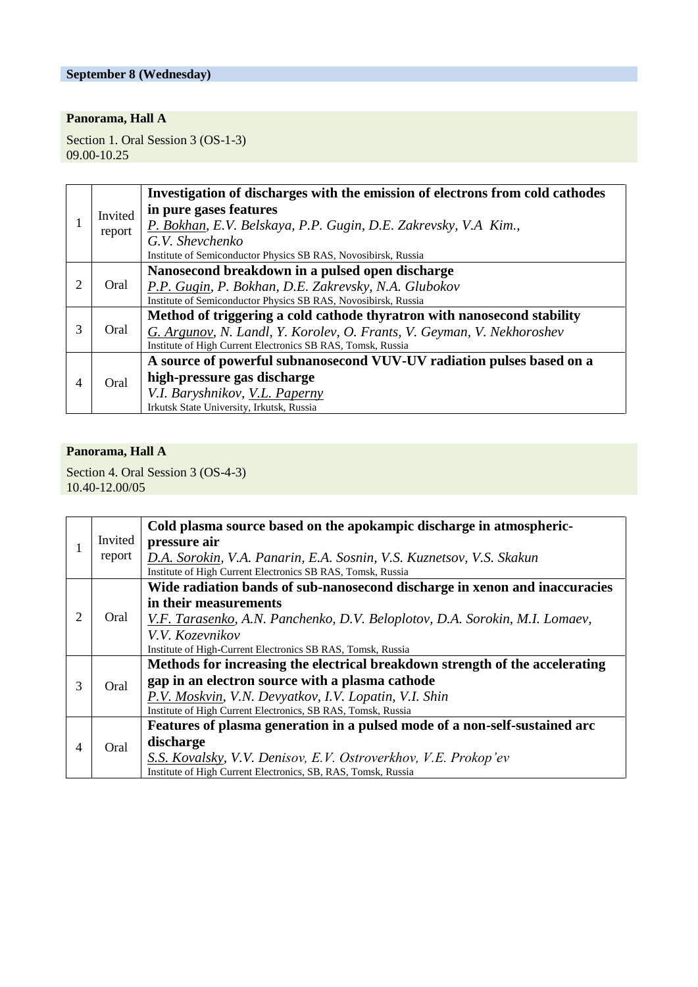#### **September 8 (Wednesday)**

# **Panorama, Hall A**

Section 1. Oral Session 3 (OS-1-3) 09.00-10.25

|                | Invited<br>report | Investigation of discharges with the emission of electrons from cold cathodes |
|----------------|-------------------|-------------------------------------------------------------------------------|
|                |                   | in pure gases features                                                        |
|                |                   | P. Bokhan, E.V. Belskaya, P.P. Gugin, D.E. Zakrevsky, V.A Kim.,               |
|                |                   | G.V. Shevchenko                                                               |
|                |                   | Institute of Semiconductor Physics SB RAS, Novosibirsk, Russia                |
|                |                   | Nanosecond breakdown in a pulsed open discharge                               |
| 2              | Oral              | P.P. Gugin, P. Bokhan, D.E. Zakrevsky, N.A. Glubokov                          |
|                |                   | Institute of Semiconductor Physics SB RAS, Novosibirsk, Russia                |
|                | Oral              | Method of triggering a cold cathode thyratron with nanosecond stability       |
| 3              |                   | G. Argunov, N. Landl, Y. Korolev, O. Frants, V. Geyman, V. Nekhoroshev        |
|                |                   | Institute of High Current Electronics SB RAS, Tomsk, Russia                   |
| $\overline{4}$ | Oral              | A source of powerful subnanosecond VUV-UV radiation pulses based on a         |
|                |                   | high-pressure gas discharge                                                   |
|                |                   | V.I. Baryshnikov, V.L. Paperny                                                |
|                |                   | Irkutsk State University, Irkutsk, Russia                                     |

#### **Panorama, Hall A**

Section 4. Oral Session 3 (OS-4-3) 10.40-12.00/05

|   |         | Cold plasma source based on the apokampic discharge in atmospheric-          |
|---|---------|------------------------------------------------------------------------------|
|   | Invited | pressure air                                                                 |
|   | report  | D.A. Sorokin, V.A. Panarin, E.A. Sosnin, V.S. Kuznetsov, V.S. Skakun         |
|   |         | Institute of High Current Electronics SB RAS, Tomsk, Russia                  |
|   |         | Wide radiation bands of sub-nanosecond discharge in xenon and inaccuracies   |
|   |         | in their measurements                                                        |
| 2 | Oral    | V.F. Tarasenko, A.N. Panchenko, D.V. Beloplotov, D.A. Sorokin, M.I. Lomaev,  |
|   |         | V.V. Kozevnikov                                                              |
|   |         | Institute of High-Current Electronics SB RAS, Tomsk, Russia                  |
|   |         | Methods for increasing the electrical breakdown strength of the accelerating |
| 3 | Oral    | gap in an electron source with a plasma cathode                              |
|   |         | P.V. Moskvin, V.N. Devyatkov, I.V. Lopatin, V.I. Shin                        |
|   |         | Institute of High Current Electronics, SB RAS, Tomsk, Russia                 |
| 4 |         | Features of plasma generation in a pulsed mode of a non-self-sustained arc   |
|   | Oral    | discharge                                                                    |
|   |         | S.S. Kovalsky, V.V. Denisov, E.V. Ostroverkhov, V.E. Prokop'ev               |
|   |         | Institute of High Current Electronics, SB, RAS, Tomsk, Russia                |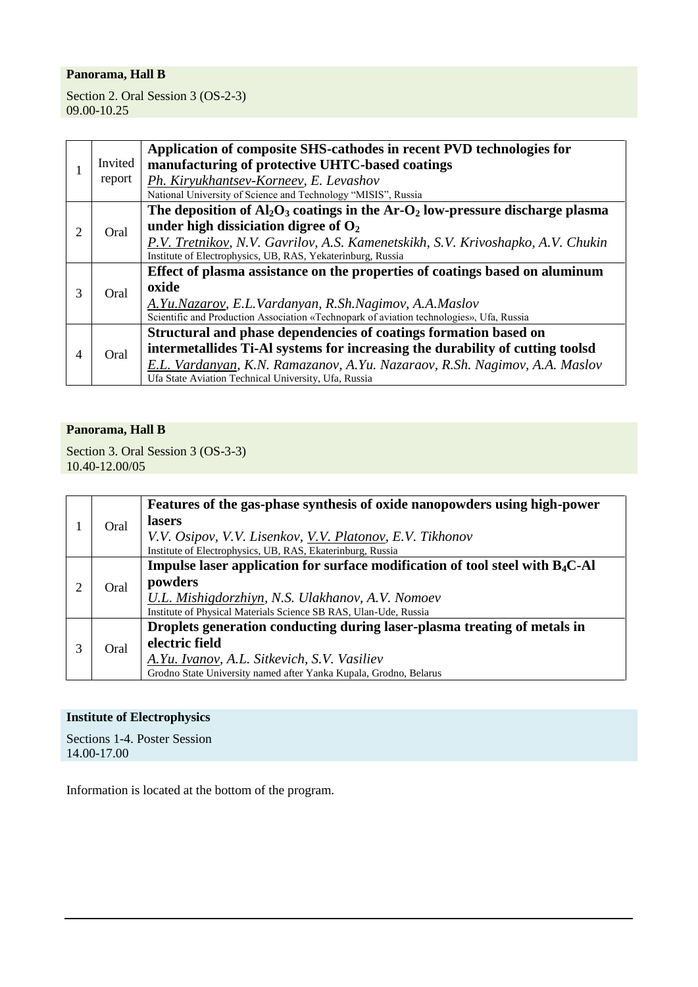Section 2. Oral Session 3 (OS-2-3) 09.00-10.25

|   |         | Application of composite SHS-cathodes in recent PVD technologies for                        |
|---|---------|---------------------------------------------------------------------------------------------|
|   | Invited | manufacturing of protective UHTC-based coatings                                             |
|   | report  | Ph. Kiryukhantsev-Korneev, E. Levashov                                                      |
|   |         | National University of Science and Technology "MISIS", Russia                               |
|   |         | The deposition of $Al_2O_3$ coatings in the Ar-O <sub>2</sub> low-pressure discharge plasma |
| 2 | Oral    | under high dissiciation digree of $O2$                                                      |
|   |         | P.V. Tretnikov, N.V. Gavrilov, A.S. Kamenetskikh, S.V. Krivoshapko, A.V. Chukin             |
|   |         | Institute of Electrophysics, UB, RAS, Yekaterinburg, Russia                                 |
|   | Oral    | Effect of plasma assistance on the properties of coatings based on aluminum                 |
| 3 |         | oxide                                                                                       |
|   |         | A.Yu.Nazarov, E.L.Vardanyan, R.Sh.Nagimov, A.A.Maslov                                       |
|   |         | Scientific and Production Association «Technopark of aviation technologies», Ufa, Russia    |
|   |         | Structural and phase dependencies of coatings formation based on                            |
| 4 | Oral    | intermetallides Ti-Al systems for increasing the durability of cutting toolsd               |
|   |         | E.L. Vardanyan, K.N. Ramazanov, A.Yu. Nazaraov, R.Sh. Nagimov, A.A. Maslov                  |
|   |         | Ufa State Aviation Technical University, Ufa, Russia                                        |

#### **Panorama, Hall B**

Section 3. Oral Session 3 (OS-3-3) 10.40-12.00/05

|  | Oral | Features of the gas-phase synthesis of oxide nanopowders using high-power                 |
|--|------|-------------------------------------------------------------------------------------------|
|  |      | lasers                                                                                    |
|  |      | V.V. Osipov, V.V. Lisenkov, V.V. Platonov, E.V. Tikhonov                                  |
|  |      | Institute of Electrophysics, UB, RAS, Ekaterinburg, Russia                                |
|  |      | Impulse laser application for surface modification of tool steel with B <sub>4</sub> C-Al |
|  | Oral | powders                                                                                   |
|  |      | U.L. Mishigdorzhiyn, N.S. Ulakhanov, A.V. Nomoev                                          |
|  |      | Institute of Physical Materials Science SB RAS, Ulan-Ude, Russia                          |
|  |      | Droplets generation conducting during laser-plasma treating of metals in                  |
|  | Oral | electric field                                                                            |
|  |      | A.Yu. Ivanov, A.L. Sitkevich, S.V. Vasiliev                                               |
|  |      | Grodno State University named after Yanka Kupala, Grodno, Belarus                         |

#### **Institute of Electrophysics**

Sections 1-4. Poster Session 14.00-17.00

Information is located at the bottom of the program.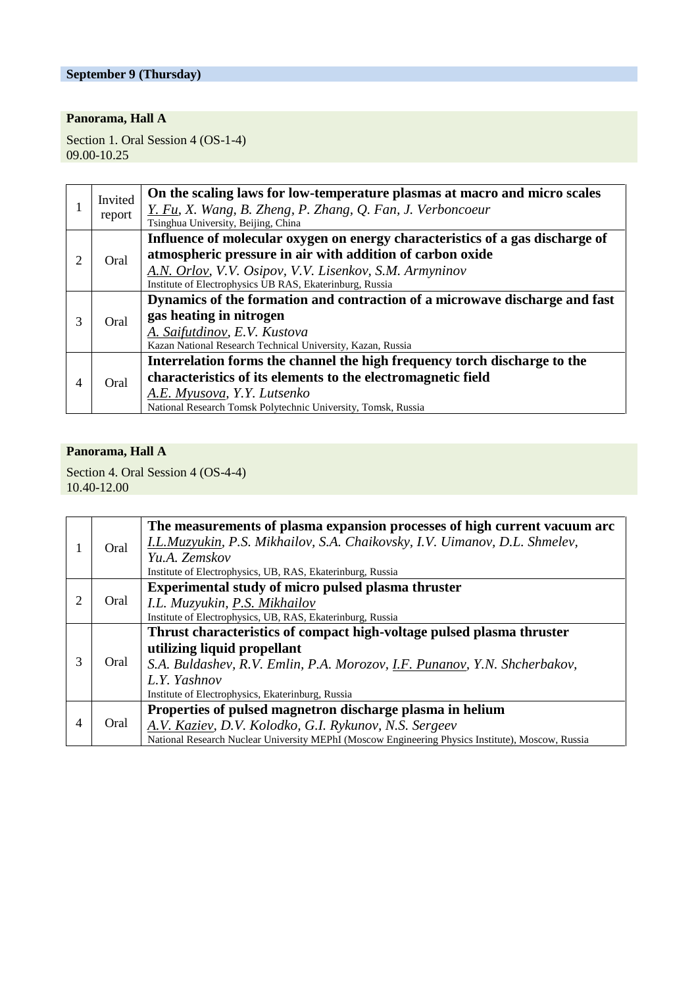## **September 9 (Thursday)**

# **Panorama, Hall A**

Section 1. Oral Session 4 (OS-1-4) 09.00-10.25

|                | Invited<br>report | On the scaling laws for low-temperature plasmas at macro and micro scales<br>Y. Fu, X. Wang, B. Zheng, P. Zhang, Q. Fan, J. Verboncoeur<br>Tsinghua University, Beijing, China                                                                                   |
|----------------|-------------------|------------------------------------------------------------------------------------------------------------------------------------------------------------------------------------------------------------------------------------------------------------------|
| 2              | Oral              | Influence of molecular oxygen on energy characteristics of a gas discharge of<br>atmospheric pressure in air with addition of carbon oxide<br>A.N. Orlov, V.V. Osipov, V.V. Lisenkov, S.M. Armyninov<br>Institute of Electrophysics UB RAS, Ekaterinburg, Russia |
| 3              | Oral              | Dynamics of the formation and contraction of a microwave discharge and fast<br>gas heating in nitrogen<br>A. Saifutdinov, E.V. Kustova<br>Kazan National Research Technical University, Kazan, Russia                                                            |
| $\overline{4}$ | Oral              | Interrelation forms the channel the high frequency torch discharge to the<br>characteristics of its elements to the electromagnetic field<br>A.E. Myusova, Y.Y. Lutsenko<br>National Research Tomsk Polytechnic University, Tomsk, Russia                        |

#### **Panorama, Hall A**

Section 4. Oral Session 4 (OS-4-4) 10.40-12.00

|   | Oral | The measurements of plasma expansion processes of high current vacuum arc<br>I.L.Muzyukin, P.S. Mikhailov, S.A. Chaikovsky, I.V. Uimanov, D.L. Shmelev,<br>Yu.A. Zemskov<br>Institute of Electrophysics, UB, RAS, Ekaterinburg, Russia |
|---|------|----------------------------------------------------------------------------------------------------------------------------------------------------------------------------------------------------------------------------------------|
| 2 | Oral | Experimental study of micro pulsed plasma thruster<br>I.L. Muzyukin, P.S. Mikhailov                                                                                                                                                    |
|   |      | Institute of Electrophysics, UB, RAS, Ekaterinburg, Russia                                                                                                                                                                             |
|   | Oral | Thrust characteristics of compact high-voltage pulsed plasma thruster                                                                                                                                                                  |
|   |      | utilizing liquid propellant                                                                                                                                                                                                            |
| 3 |      | S.A. Buldashev, R.V. Emlin, P.A. Morozov, I.F. Punanov, Y.N. Shcherbakov,                                                                                                                                                              |
|   |      | L.Y. Yashnov                                                                                                                                                                                                                           |
|   |      | Institute of Electrophysics, Ekaterinburg, Russia                                                                                                                                                                                      |
|   |      | Properties of pulsed magnetron discharge plasma in helium                                                                                                                                                                              |
| 4 | Oral | A.V. Kaziev, D.V. Kolodko, G.I. Rykunov, N.S. Sergeev                                                                                                                                                                                  |
|   |      | National Research Nuclear University MEPhI (Moscow Engineering Physics Institute), Moscow, Russia                                                                                                                                      |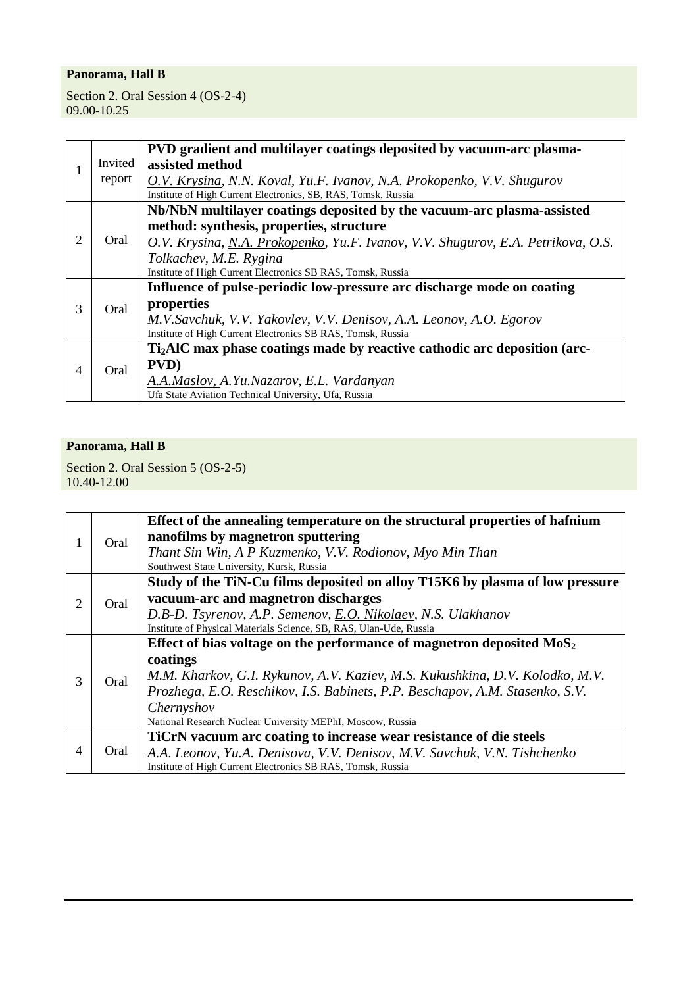Section 2. Oral Session 4 (OS-2-4) 09.00-10.25

|                |         | PVD gradient and multilayer coatings deposited by vacuum-arc plasma-                  |
|----------------|---------|---------------------------------------------------------------------------------------|
|                | Invited | assisted method                                                                       |
|                | report  | O.V. Krysina, N.N. Koval, Yu.F. Ivanov, N.A. Prokopenko, V.V. Shugurov                |
|                |         | Institute of High Current Electronics, SB, RAS, Tomsk, Russia                         |
|                |         | Nb/NbN multilayer coatings deposited by the vacuum-arc plasma-assisted                |
|                |         | method: synthesis, properties, structure                                              |
| 2              | Oral    | O.V. Krysina, N.A. Prokopenko, Yu.F. Ivanov, V.V. Shugurov, E.A. Petrikova, O.S.      |
|                |         | Tolkachev, M.E. Rygina                                                                |
|                |         | Institute of High Current Electronics SB RAS, Tomsk, Russia                           |
|                |         | Influence of pulse-periodic low-pressure arc discharge mode on coating                |
| 3              | Oral    | properties                                                                            |
|                |         | M.V.Savchuk, V.V. Yakovlev, V.V. Denisov, A.A. Leonov, A.O. Egorov                    |
|                |         | Institute of High Current Electronics SB RAS, Tomsk, Russia                           |
|                |         | Ti <sub>2</sub> AlC max phase coatings made by reactive cathodic arc deposition (arc- |
| $\overline{4}$ | Oral    | PVD)                                                                                  |
|                |         | A.A.Maslov, A.Yu.Nazarov, E.L. Vardanyan                                              |
|                |         | Ufa State Aviation Technical University, Ufa, Russia                                  |

## **Panorama, Hall B**

Section 2. Oral Session 5 (OS-2-5) 10.40-12.00

|   |      | Effect of the annealing temperature on the structural properties of hafnium  |
|---|------|------------------------------------------------------------------------------|
|   | Oral | nanofilms by magnetron sputtering                                            |
|   |      | Thant Sin Win, A P Kuzmenko, V.V. Rodionov, Myo Min Than                     |
|   |      | Southwest State University, Kursk, Russia                                    |
|   |      | Study of the TiN-Cu films deposited on alloy T15K6 by plasma of low pressure |
| 2 | Oral | vacuum-arc and magnetron discharges                                          |
|   |      | D.B-D. Tsyrenov, A.P. Semenov, E.O. Nikolaev, N.S. Ulakhanov                 |
|   |      | Institute of Physical Materials Science, SB, RAS, Ulan-Ude, Russia           |
|   | Oral | Effect of bias voltage on the performance of magnetron deposited $MoS2$      |
|   |      | coatings                                                                     |
| 3 |      | M.M. Kharkov, G.I. Rykunov, A.V. Kaziev, M.S. Kukushkina, D.V. Kolodko, M.V. |
|   |      | Prozhega, E.O. Reschikov, I.S. Babinets, P.P. Beschapov, A.M. Stasenko, S.V. |
|   |      | Chernyshov                                                                   |
|   |      | National Research Nuclear University MEPhI, Moscow, Russia                   |
|   |      | TiCrN vacuum arc coating to increase wear resistance of die steels           |
| 4 | Oral | A.A. Leonov, Yu.A. Denisova, V.V. Denisov, M.V. Savchuk, V.N. Tishchenko     |
|   |      | Institute of High Current Electronics SB RAS, Tomsk, Russia                  |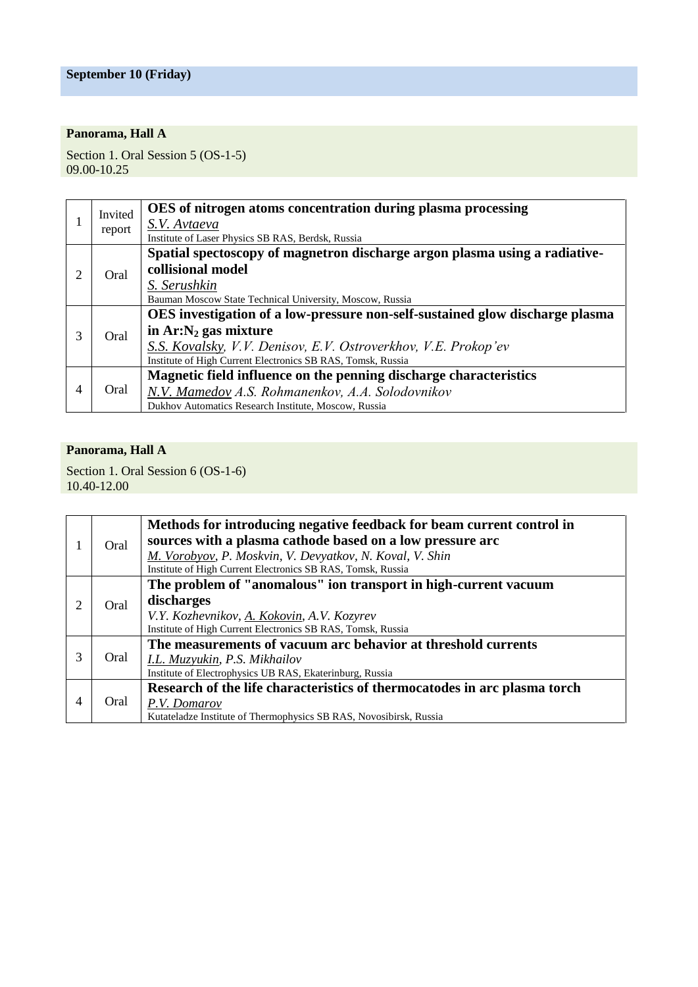Section 1. Oral Session 5 (OS-1-5) 09.00-10.25

|   | Invited<br>report | OES of nitrogen atoms concentration during plasma processing                 |
|---|-------------------|------------------------------------------------------------------------------|
|   |                   | S.V. Avtaeva                                                                 |
|   |                   | Institute of Laser Physics SB RAS, Berdsk, Russia                            |
|   |                   | Spatial spectoscopy of magnetron discharge argon plasma using a radiative-   |
| 2 | Oral              | collisional model                                                            |
|   |                   | S. Serushkin                                                                 |
|   |                   | Bauman Moscow State Technical University, Moscow, Russia                     |
|   | Oral              | OES investigation of a low-pressure non-self-sustained glow discharge plasma |
| 3 |                   | in $Ar:N_2$ gas mixture                                                      |
|   |                   | S.S. Kovalsky, V.V. Denisov, E.V. Ostroverkhov, V.E. Prokop'ev               |
|   |                   | Institute of High Current Electronics SB RAS, Tomsk, Russia                  |
| 4 | Oral              | Magnetic field influence on the penning discharge characteristics            |
|   |                   | N.V. Mamedov A.S. Rohmanenkov, A.A. Solodovnikov                             |
|   |                   | Dukhov Automatics Research Institute, Moscow, Russia                         |

# **Panorama, Hall A**

Section 1. Oral Session 6 (OS-1-6) 10.40-12.00

|   | Oral | Methods for introducing negative feedback for beam current control in<br>sources with a plasma cathode based on a low pressure arc<br>M. Vorobyov, P. Moskvin, V. Devyatkov, N. Koval, V. Shin<br>Institute of High Current Electronics SB RAS, Tomsk, Russia |
|---|------|---------------------------------------------------------------------------------------------------------------------------------------------------------------------------------------------------------------------------------------------------------------|
|   |      | The problem of "anomalous" ion transport in high-current vacuum                                                                                                                                                                                               |
|   | Oral | discharges                                                                                                                                                                                                                                                    |
|   |      | V.Y. Kozhevnikov, A. Kokovin, A.V. Kozyrev                                                                                                                                                                                                                    |
|   |      | Institute of High Current Electronics SB RAS, Tomsk, Russia                                                                                                                                                                                                   |
|   |      | The measurements of vacuum arc behavior at threshold currents                                                                                                                                                                                                 |
| 3 | Oral | I.L. Muzyukin, P.S. Mikhailov                                                                                                                                                                                                                                 |
|   |      | Institute of Electrophysics UB RAS, Ekaterinburg, Russia                                                                                                                                                                                                      |
| 4 | Oral | Research of the life characteristics of thermocatodes in arc plasma torch                                                                                                                                                                                     |
|   |      | P.V. Domarov                                                                                                                                                                                                                                                  |
|   |      | Kutateladze Institute of Thermophysics SB RAS, Novosibirsk, Russia                                                                                                                                                                                            |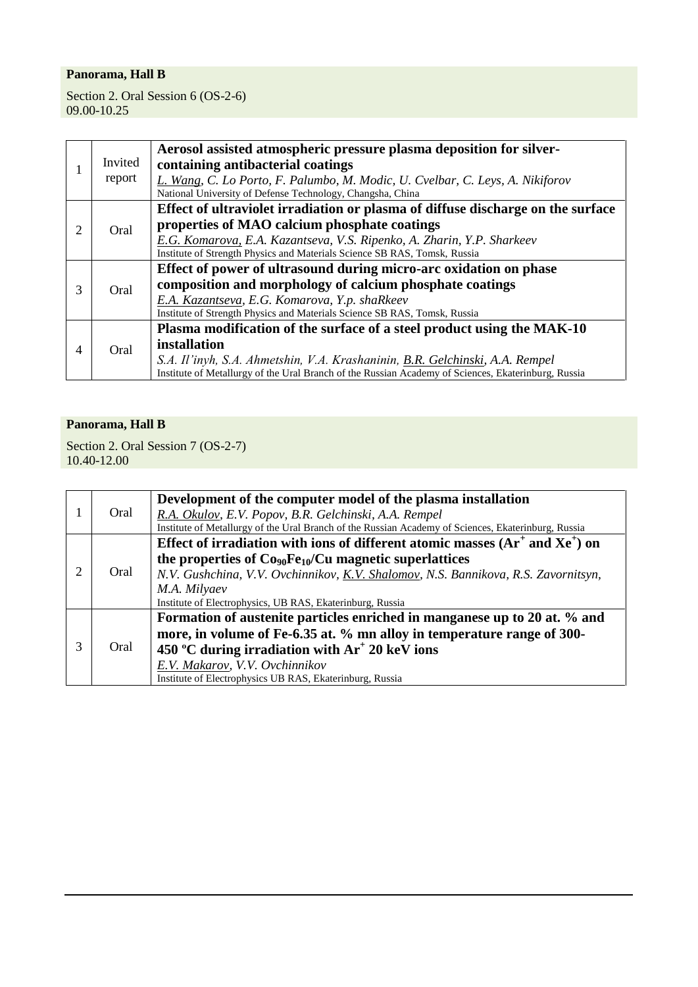Section 2. Oral Session 6 (OS-2-6) 09.00-10.25

|               |         | Aerosol assisted atmospheric pressure plasma deposition for silver-                                 |
|---------------|---------|-----------------------------------------------------------------------------------------------------|
|               | Invited | containing antibacterial coatings                                                                   |
|               | report  | L. Wang, C. Lo Porto, F. Palumbo, M. Modic, U. Cvelbar, C. Leys, A. Nikiforov                       |
|               |         | National University of Defense Technology, Changsha, China                                          |
|               |         | Effect of ultraviolet irradiation or plasma of diffuse discharge on the surface                     |
| 2             | Oral    | properties of MAO calcium phosphate coatings                                                        |
|               |         | E.G. Komarova, E.A. Kazantseva, V.S. Ripenko, A. Zharin, Y.P. Sharkeev                              |
|               |         | Institute of Strength Physics and Materials Science SB RAS, Tomsk, Russia                           |
|               | Oral    | Effect of power of ultrasound during micro-arc oxidation on phase                                   |
| $\mathcal{R}$ |         | composition and morphology of calcium phosphate coatings                                            |
|               |         | E.A. Kazantseva, E.G. Komarova, Y.p. shaRkeev                                                       |
|               |         | Institute of Strength Physics and Materials Science SB RAS, Tomsk, Russia                           |
|               |         | Plasma modification of the surface of a steel product using the MAK-10                              |
| 4             | Oral    | installation                                                                                        |
|               |         | S.A. Il'inyh, S.A. Ahmetshin, V.A. Krashaninin, B.R. Gelchinski, A.A. Rempel                        |
|               |         | Institute of Metallurgy of the Ural Branch of the Russian Academy of Sciences, Ekaterinburg, Russia |

# **Panorama, Hall B**

Section 2. Oral Session 7 (OS-2-7) 10.40-12.00

|                             | Oral | Development of the computer model of the plasma installation                                        |
|-----------------------------|------|-----------------------------------------------------------------------------------------------------|
|                             |      | R.A. Okulov, E.V. Popov, B.R. Gelchinski, A.A. Rempel                                               |
|                             |      | Institute of Metallurgy of the Ural Branch of the Russian Academy of Sciences, Ekaterinburg, Russia |
|                             |      | Effect of irradiation with ions of different atomic masses $(Ar^{\dagger}$ and $Xe^{\dagger})$ on   |
|                             |      | the properties of $Co_{90}Fe_{10}/Cu$ magnetic superlattices                                        |
| $\mathcal{D}_{\mathcal{L}}$ | Oral | N.V. Gushchina, V.V. Ovchinnikov, K.V. Shalomov, N.S. Bannikova, R.S. Zavornitsyn,                  |
|                             |      | M.A. Milyaev                                                                                        |
|                             |      | Institute of Electrophysics, UB RAS, Ekaterinburg, Russia                                           |
|                             |      | Formation of austenite particles enriched in manganese up to 20 at. % and                           |
| 3                           |      | more, in volume of Fe-6.35 at. % mn alloy in temperature range of 300-                              |
|                             | Oral | 450 °C during irradiation with $Ar^+$ 20 keV ions                                                   |
|                             |      | E.V. Makarov, V.V. Ovchinnikov                                                                      |
|                             |      | Institute of Electrophysics UB RAS, Ekaterinburg, Russia                                            |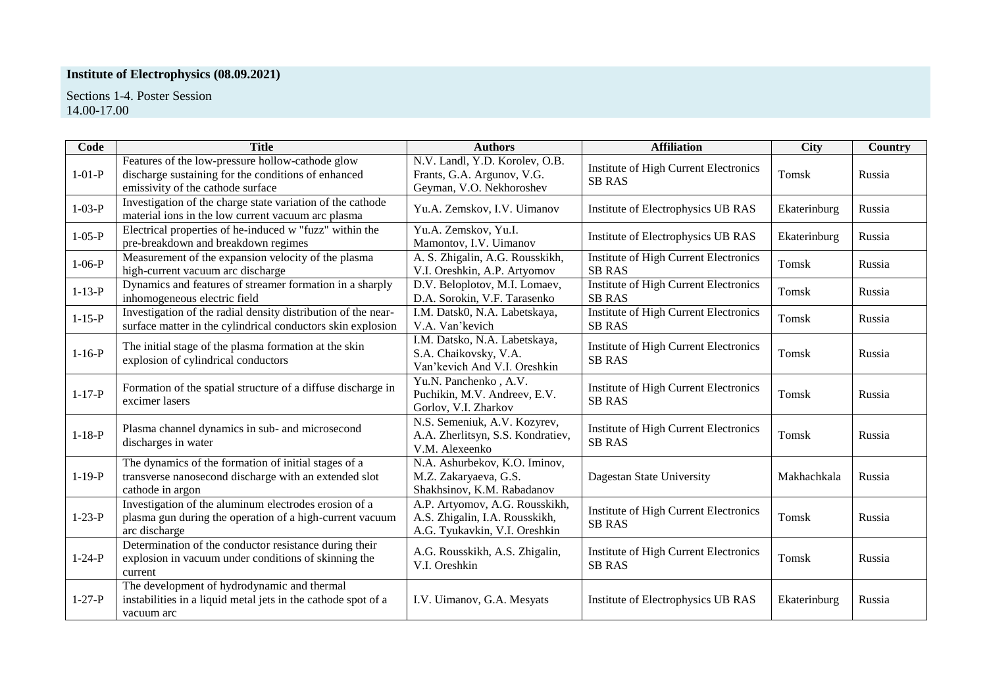# **Institute of Electrophysics (08.09.2021)**

Sections 1-4. Poster Session 14.00-17.00

| Code         | <b>Title</b>                                                                                                                                 | <b>Authors</b>                                                                                    | <b>Affiliation</b>                                            | <b>City</b>  | Country |
|--------------|----------------------------------------------------------------------------------------------------------------------------------------------|---------------------------------------------------------------------------------------------------|---------------------------------------------------------------|--------------|---------|
| $1 - 01 - P$ | Features of the low-pressure hollow-cathode glow<br>discharge sustaining for the conditions of enhanced<br>emissivity of the cathode surface | N.V. Landl, Y.D. Korolev, O.B.<br>Frants, G.A. Argunov, V.G.<br>Geyman, V.O. Nekhoroshev          | Institute of High Current Electronics<br><b>SB RAS</b>        | Tomsk        | Russia  |
| $1 - 03 - P$ | Investigation of the charge state variation of the cathode<br>material ions in the low current vacuum arc plasma                             | Yu.A. Zemskov, I.V. Uimanov                                                                       | Institute of Electrophysics UB RAS                            | Ekaterinburg | Russia  |
| $1 - 05 - P$ | Electrical properties of he-induced w "fuzz" within the<br>pre-breakdown and breakdown regimes                                               | Yu.A. Zemskov, Yu.I.<br>Mamontov, I.V. Uimanov                                                    | Institute of Electrophysics UB RAS                            | Ekaterinburg | Russia  |
| $1 - 06 - P$ | Measurement of the expansion velocity of the plasma<br>high-current vacuum arc discharge                                                     | A. S. Zhigalin, A.G. Rousskikh,<br>V.I. Oreshkin, A.P. Artyomov                                   | <b>Institute of High Current Electronics</b><br><b>SB RAS</b> | Tomsk        | Russia  |
| $1 - 13 - P$ | Dynamics and features of streamer formation in a sharply<br>inhomogeneous electric field                                                     | D.V. Beloplotov, M.I. Lomaev,<br>D.A. Sorokin, V.F. Tarasenko                                     | <b>Institute of High Current Electronics</b><br><b>SB RAS</b> | <b>Tomsk</b> | Russia  |
| $1 - 15 - P$ | Investigation of the radial density distribution of the near-<br>surface matter in the cylindrical conductors skin explosion                 | I.M. Datsk0, N.A. Labetskaya,<br>V.A. Van'kevich                                                  | Institute of High Current Electronics<br><b>SB RAS</b>        | Tomsk        | Russia  |
| $1 - 16 - P$ | The initial stage of the plasma formation at the skin<br>explosion of cylindrical conductors                                                 | I.M. Datsko, N.A. Labetskaya,<br>S.A. Chaikovsky, V.A.<br>Van'kevich And V.I. Oreshkin            | Institute of High Current Electronics<br><b>SB RAS</b>        | Tomsk        | Russia  |
| $1 - 17 - P$ | Formation of the spatial structure of a diffuse discharge in<br>excimer lasers                                                               | Yu.N. Panchenko, A.V.<br>Puchikin, M.V. Andreev, E.V.<br>Gorlov, V.I. Zharkov                     | Institute of High Current Electronics<br><b>SB RAS</b>        | Tomsk        | Russia  |
| $1 - 18 - P$ | Plasma channel dynamics in sub- and microsecond<br>discharges in water                                                                       | N.S. Semeniuk, A.V. Kozyrev,<br>A.A. Zherlitsyn, S.S. Kondratiev,<br>V.M. Alexeenko               | Institute of High Current Electronics<br><b>SB RAS</b>        | Tomsk        | Russia  |
| $1 - 19 - P$ | The dynamics of the formation of initial stages of a<br>transverse nanosecond discharge with an extended slot<br>cathode in argon            | N.A. Ashurbekov, K.O. Iminov,<br>M.Z. Zakaryaeva, G.S.<br>Shakhsinov, K.M. Rabadanov              | Dagestan State University                                     | Makhachkala  | Russia  |
| $1 - 23 - P$ | Investigation of the aluminum electrodes erosion of a<br>plasma gun during the operation of a high-current vacuum<br>arc discharge           | A.P. Artyomov, A.G. Rousskikh,<br>A.S. Zhigalin, I.A. Rousskikh,<br>A.G. Tyukavkin, V.I. Oreshkin | Institute of High Current Electronics<br><b>SB RAS</b>        | Tomsk        | Russia  |
| $1 - 24 - P$ | Determination of the conductor resistance during their<br>explosion in vacuum under conditions of skinning the<br>current                    | A.G. Rousskikh, A.S. Zhigalin,<br>V.I. Oreshkin                                                   | Institute of High Current Electronics<br><b>SB RAS</b>        | Tomsk        | Russia  |
| $1 - 27 - P$ | The development of hydrodynamic and thermal<br>instabilities in a liquid metal jets in the cathode spot of a<br>vacuum arc                   | I.V. Uimanov, G.A. Mesyats                                                                        | Institute of Electrophysics UB RAS                            | Ekaterinburg | Russia  |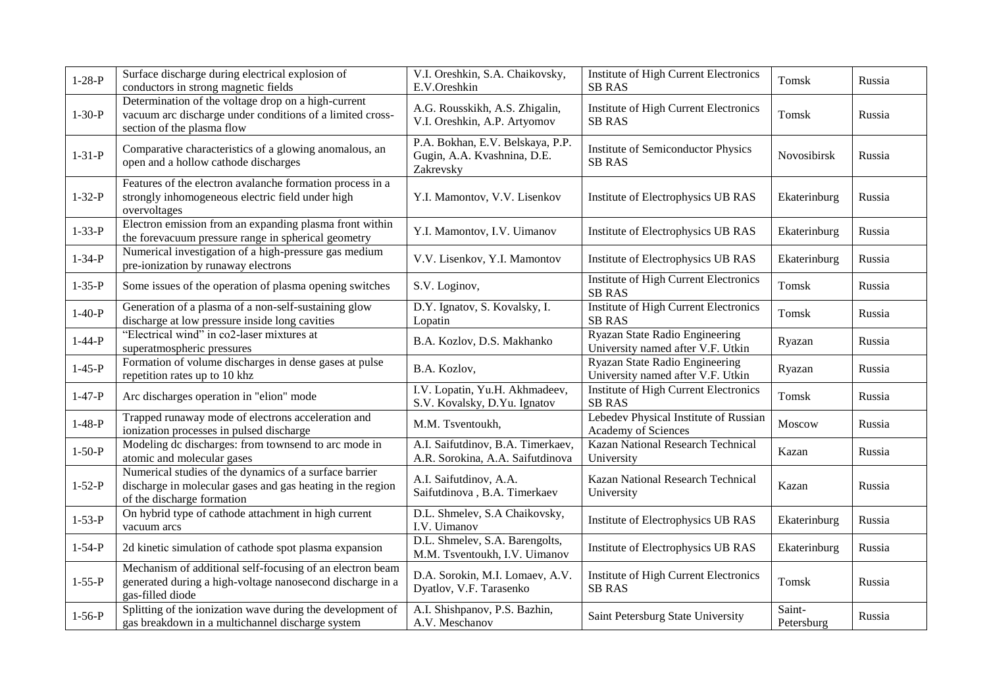| $1 - 28 - P$ | Surface discharge during electrical explosion of<br>conductors in strong magnetic fields                                                           | V.I. Oreshkin, S.A. Chaikovsky,<br>E.V.Oreshkin                              | Institute of High Current Electronics<br><b>SB RAS</b>              | Tomsk                | Russia |
|--------------|----------------------------------------------------------------------------------------------------------------------------------------------------|------------------------------------------------------------------------------|---------------------------------------------------------------------|----------------------|--------|
| $1 - 30 - P$ | Determination of the voltage drop on a high-current<br>vacuum arc discharge under conditions of a limited cross-<br>section of the plasma flow     | A.G. Rousskikh, A.S. Zhigalin,<br>V.I. Oreshkin, A.P. Artyomov               | Institute of High Current Electronics<br><b>SB RAS</b>              | Tomsk                | Russia |
| $1 - 31 - P$ | Comparative characteristics of a glowing anomalous, an<br>open and a hollow cathode discharges                                                     | P.A. Bokhan, E.V. Belskaya, P.P.<br>Gugin, A.A. Kvashnina, D.E.<br>Zakrevsky | <b>Institute of Semiconductor Physics</b><br><b>SB RAS</b>          | Novosibirsk          | Russia |
| $1 - 32 - P$ | Features of the electron avalanche formation process in a<br>strongly inhomogeneous electric field under high<br>overvoltages                      | Y.I. Mamontov, V.V. Lisenkov                                                 | Institute of Electrophysics UB RAS                                  | Ekaterinburg         | Russia |
| $1 - 33 - P$ | Electron emission from an expanding plasma front within<br>the forevacuum pressure range in spherical geometry                                     | Y.I. Mamontov, I.V. Uimanov                                                  | Institute of Electrophysics UB RAS                                  | Ekaterinburg         | Russia |
| $1 - 34 - P$ | Numerical investigation of a high-pressure gas medium<br>pre-ionization by runaway electrons                                                       | V.V. Lisenkov, Y.I. Mamontov                                                 | Institute of Electrophysics UB RAS                                  | Ekaterinburg         | Russia |
| $1 - 35 - P$ | Some issues of the operation of plasma opening switches                                                                                            | S.V. Loginov,                                                                | <b>Institute of High Current Electronics</b><br><b>SB RAS</b>       | Tomsk                | Russia |
| $1 - 40 - P$ | Generation of a plasma of a non-self-sustaining glow<br>discharge at low pressure inside long cavities                                             | D.Y. Ignatov, S. Kovalsky, I.<br>Lopatin                                     | <b>Institute of High Current Electronics</b><br><b>SB RAS</b>       | Tomsk                | Russia |
| $1 - 44 - P$ | "Electrical wind" in co2-laser mixtures at<br>superatmospheric pressures                                                                           | B.A. Kozlov, D.S. Makhanko                                                   | Ryazan State Radio Engineering<br>University named after V.F. Utkin | Ryazan               | Russia |
| $1 - 45 - P$ | Formation of volume discharges in dense gases at pulse<br>repetition rates up to 10 khz                                                            | B.A. Kozlov,                                                                 | Ryazan State Radio Engineering<br>University named after V.F. Utkin | Ryazan               | Russia |
| $1 - 47 - P$ | Arc discharges operation in "elion" mode                                                                                                           | I.V. Lopatin, Yu.H. Akhmadeev,<br>S.V. Kovalsky, D.Yu. Ignatov               | <b>Institute of High Current Electronics</b><br><b>SB RAS</b>       | Tomsk                | Russia |
| $1-48-P$     | Trapped runaway mode of electrons acceleration and<br>ionization processes in pulsed discharge                                                     | M.M. Tsventoukh,                                                             | Lebedev Physical Institute of Russian<br>Academy of Sciences        | Moscow               | Russia |
| $1 - 50 - P$ | Modeling dc discharges: from townsend to arc mode in<br>atomic and molecular gases                                                                 | A.I. Saifutdinov, B.A. Timerkaev,<br>A.R. Sorokina, A.A. Saifutdinova        | <b>Kazan National Research Technical</b><br>University              | Kazan                | Russia |
| $1 - 52 - P$ | Numerical studies of the dynamics of a surface barrier<br>discharge in molecular gases and gas heating in the region<br>of the discharge formation | A.I. Saifutdinov, A.A.<br>Saifutdinova, B.A. Timerkaev                       | Kazan National Research Technical<br>University                     | Kazan                | Russia |
| $1 - 53 - P$ | On hybrid type of cathode attachment in high current<br>vacuum arcs                                                                                | D.L. Shmelev, S.A Chaikovsky,<br>I.V. Uimanov                                | Institute of Electrophysics UB RAS                                  | Ekaterinburg         | Russia |
| $1 - 54 - P$ | 2d kinetic simulation of cathode spot plasma expansion                                                                                             | D.L. Shmelev, S.A. Barengolts,<br>M.M. Tsventoukh, I.V. Uimanov              | Institute of Electrophysics UB RAS                                  | Ekaterinburg         | Russia |
| $1 - 55 - P$ | Mechanism of additional self-focusing of an electron beam<br>generated during a high-voltage nanosecond discharge in a<br>gas-filled diode         | D.A. Sorokin, M.I. Lomaev, A.V.<br>Dyatlov, V.F. Tarasenko                   | <b>Institute of High Current Electronics</b><br><b>SB RAS</b>       | Tomsk                | Russia |
| $1 - 56 - P$ | Splitting of the ionization wave during the development of<br>gas breakdown in a multichannel discharge system                                     | A.I. Shishpanov, P.S. Bazhin,<br>A.V. Meschanov                              | Saint Petersburg State University                                   | Saint-<br>Petersburg | Russia |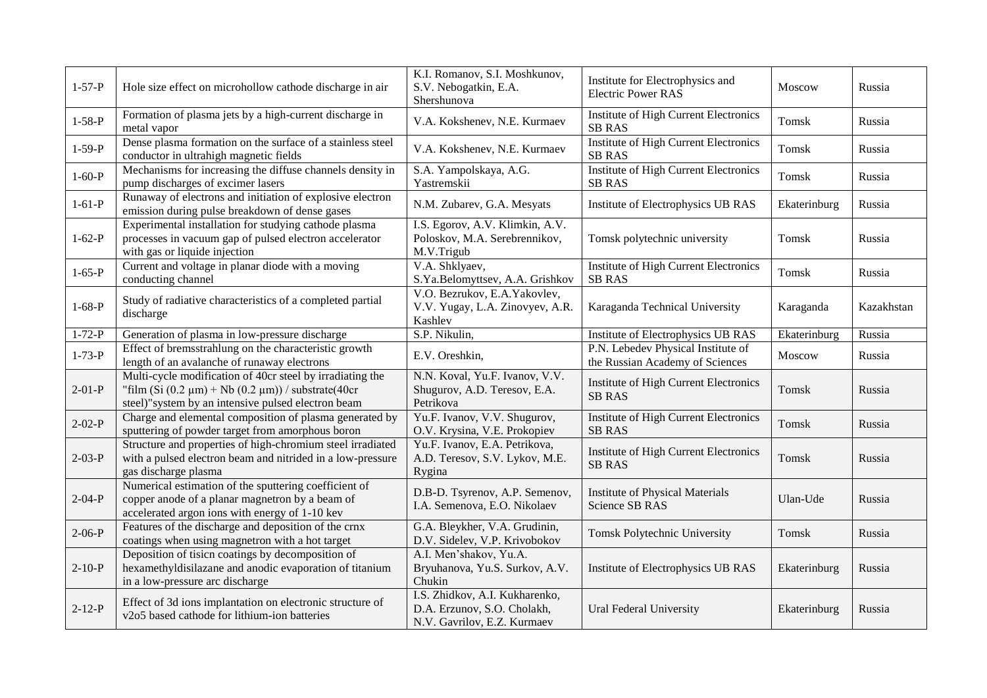| $1 - 57 - P$ | Hole size effect on microhollow cathode discharge in air                                                                                                                      | K.I. Romanov, S.I. Moshkunov,<br>S.V. Nebogatkin, E.A.<br>Shershunova                        | Institute for Electrophysics and<br><b>Electric Power RAS</b>         | <b>Moscow</b> | Russia     |
|--------------|-------------------------------------------------------------------------------------------------------------------------------------------------------------------------------|----------------------------------------------------------------------------------------------|-----------------------------------------------------------------------|---------------|------------|
| $1 - 58 - P$ | Formation of plasma jets by a high-current discharge in<br>metal vapor                                                                                                        | V.A. Kokshenev, N.E. Kurmaev                                                                 | Institute of High Current Electronics<br><b>SB RAS</b>                | Tomsk         | Russia     |
| $1-59-P$     | Dense plasma formation on the surface of a stainless steel<br>conductor in ultrahigh magnetic fields                                                                          | V.A. Kokshenev, N.E. Kurmaev                                                                 | Institute of High Current Electronics<br><b>SB RAS</b>                | Tomsk         | Russia     |
| $1 - 60 - P$ | Mechanisms for increasing the diffuse channels density in<br>pump discharges of excimer lasers                                                                                | S.A. Yampolskaya, A.G.<br>Yastremskii                                                        | <b>Institute of High Current Electronics</b><br><b>SB RAS</b>         | Tomsk         | Russia     |
| $1 - 61 - P$ | Runaway of electrons and initiation of explosive electron<br>emission during pulse breakdown of dense gases                                                                   | N.M. Zubarev, G.A. Mesyats                                                                   | Institute of Electrophysics UB RAS                                    | Ekaterinburg  | Russia     |
| $1 - 62 - P$ | Experimental installation for studying cathode plasma<br>processes in vacuum gap of pulsed electron accelerator<br>with gas or liquide injection                              | I.S. Egorov, A.V. Klimkin, A.V.<br>Poloskov, M.A. Serebrennikov,<br>M.V.Trigub               | Tomsk polytechnic university                                          | Tomsk         | Russia     |
| $1 - 65 - P$ | Current and voltage in planar diode with a moving<br>conducting channel                                                                                                       | V.A. Shklyaev,<br>S.Ya.Belomyttsev, A.A. Grishkov                                            | Institute of High Current Electronics<br><b>SB RAS</b>                | Tomsk         | Russia     |
| $1-68-P$     | Study of radiative characteristics of a completed partial<br>discharge                                                                                                        | V.O. Bezrukov, E.A. Yakovlev,<br>V.V. Yugay, L.A. Zinovyev, A.R.<br>Kashlev                  | Karaganda Technical University                                        | Karaganda     | Kazakhstan |
| $1 - 72 - P$ | Generation of plasma in low-pressure discharge                                                                                                                                | S.P. Nikulin,                                                                                | Institute of Electrophysics UB RAS                                    | Ekaterinburg  | Russia     |
| $1 - 73 - P$ | Effect of bremsstrahlung on the characteristic growth<br>length of an avalanche of runaway electrons                                                                          | E.V. Oreshkin,                                                                               | P.N. Lebedev Physical Institute of<br>the Russian Academy of Sciences | <b>Moscow</b> | Russia     |
| $2-01-P$     | Multi-cycle modification of 40cr steel by irradiating the<br>"film $(Si (0.2 \mu m) + Nb (0.2 \mu m))$ / substrate(40cr<br>steel)"system by an intensive pulsed electron beam | N.N. Koval, Yu.F. Ivanov, V.V.<br>Shugurov, A.D. Teresov, E.A.<br>Petrikova                  | <b>Institute of High Current Electronics</b><br><b>SB RAS</b>         | Tomsk         | Russia     |
| $2 - 02 - P$ | Charge and elemental composition of plasma generated by<br>sputtering of powder target from amorphous boron                                                                   | Yu.F. Ivanov, V.V. Shugurov,<br>O.V. Krysina, V.E. Prokopiev                                 | <b>Institute of High Current Electronics</b><br><b>SB RAS</b>         | Tomsk         | Russia     |
| $2-03-P$     | Structure and properties of high-chromium steel irradiated<br>with a pulsed electron beam and nitrided in a low-pressure<br>gas discharge plasma                              | Yu.F. Ivanov, E.A. Petrikova,<br>A.D. Teresov, S.V. Lykov, M.E.<br>Rygina                    | <b>Institute of High Current Electronics</b><br><b>SB RAS</b>         | Tomsk         | Russia     |
| $2 - 04 - P$ | Numerical estimation of the sputtering coefficient of<br>copper anode of a planar magnetron by a beam of<br>accelerated argon ions with energy of 1-10 kev                    | D.B-D. Tsyrenov, A.P. Semenov,<br>I.A. Semenova, E.O. Nikolaev                               | <b>Institute of Physical Materials</b><br><b>Science SB RAS</b>       | Ulan-Ude      | Russia     |
| $2-06-P$     | Features of the discharge and deposition of the crnx<br>coatings when using magnetron with a hot target                                                                       | G.A. Bleykher, V.A. Grudinin,<br>D.V. Sidelev, V.P. Krivobokov                               | Tomsk Polytechnic University                                          | Tomsk         | Russia     |
| $2-10-P$     | Deposition of tisicn coatings by decomposition of<br>hexamethyldisilazane and anodic evaporation of titanium<br>in a low-pressure arc discharge                               | A.I. Men'shakov, Yu.A.<br>Bryuhanova, Yu.S. Surkov, A.V.<br>Chukin                           | Institute of Electrophysics UB RAS                                    | Ekaterinburg  | Russia     |
| $2 - 12 - P$ | Effect of 3d ions implantation on electronic structure of<br>v2o5 based cathode for lithium-ion batteries                                                                     | I.S. Zhidkov, A.I. Kukharenko,<br>D.A. Erzunov, S.O. Cholakh,<br>N.V. Gavrilov, E.Z. Kurmaev | Ural Federal University                                               | Ekaterinburg  | Russia     |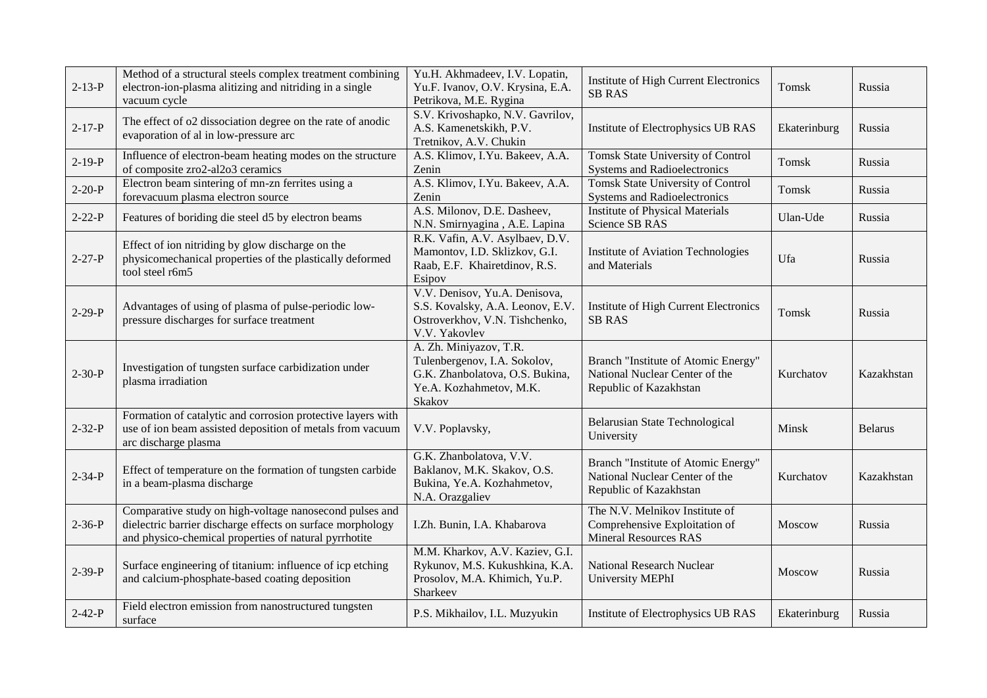| $2 - 13 - P$ | Method of a structural steels complex treatment combining<br>electron-ion-plasma alitizing and nitriding in a single<br>vacuum cycle                                           | Yu.H. Akhmadeev, I.V. Lopatin,<br>Yu.F. Ivanov, O.V. Krysina, E.A.<br>Petrikova, M.E. Rygina                                   | Institute of High Current Electronics<br><b>SB RAS</b>                                          | Tomsk         | Russia         |
|--------------|--------------------------------------------------------------------------------------------------------------------------------------------------------------------------------|--------------------------------------------------------------------------------------------------------------------------------|-------------------------------------------------------------------------------------------------|---------------|----------------|
| $2 - 17 - P$ | The effect of o2 dissociation degree on the rate of anodic<br>evaporation of al in low-pressure arc                                                                            | S.V. Krivoshapko, N.V. Gavrilov,<br>A.S. Kamenetskikh, P.V.<br>Tretnikov, A.V. Chukin                                          | Institute of Electrophysics UB RAS                                                              | Ekaterinburg  | Russia         |
| $2-19-P$     | Influence of electron-beam heating modes on the structure<br>of composite zro2-al2o3 ceramics                                                                                  | A.S. Klimov, I.Yu. Bakeev, A.A.<br>Zenin                                                                                       | Tomsk State University of Control<br><b>Systems and Radioelectronics</b>                        | Tomsk         | Russia         |
| $2 - 20 - P$ | Electron beam sintering of mn-zn ferrites using a<br>forevacuum plasma electron source                                                                                         | A.S. Klimov, I.Yu. Bakeev, A.A.<br>Zenin                                                                                       | <b>Tomsk State University of Control</b><br><b>Systems and Radioelectronics</b>                 | Tomsk         | Russia         |
| $2 - 22 - P$ | Features of boriding die steel d5 by electron beams                                                                                                                            | A.S. Milonov, D.E. Dasheev,<br>N.N. Smirnyagina, A.E. Lapina                                                                   | <b>Institute of Physical Materials</b><br>Science SB RAS                                        | Ulan-Ude      | Russia         |
| $2 - 27 - P$ | Effect of ion nitriding by glow discharge on the<br>physicomechanical properties of the plastically deformed<br>tool steel r6m5                                                | R.K. Vafin, A.V. Asylbaev, D.V.<br>Mamontov, I.D. Sklizkov, G.I.<br>Raab, E.F. Khairetdinov, R.S.<br>Esipov                    | Institute of Aviation Technologies<br>and Materials                                             | Ufa           | Russia         |
| $2 - 29 - P$ | Advantages of using of plasma of pulse-periodic low-<br>pressure discharges for surface treatment                                                                              | V.V. Denisov, Yu.A. Denisova,<br>S.S. Kovalsky, A.A. Leonov, E.V.<br>Ostroverkhov, V.N. Tishchenko,<br>V.V. Yakovlev           | Institute of High Current Electronics<br><b>SB RAS</b>                                          | Tomsk         | Russia         |
| $2 - 30 - P$ | Investigation of tungsten surface carbidization under<br>plasma irradiation                                                                                                    | A. Zh. Miniyazov, T.R.<br>Tulenbergenov, I.A. Sokolov,<br>G.K. Zhanbolatova, O.S. Bukina,<br>Ye.A. Kozhahmetov, M.K.<br>Skakov | Branch "Institute of Atomic Energy"<br>National Nuclear Center of the<br>Republic of Kazakhstan | Kurchatov     | Kazakhstan     |
| $2 - 32 - P$ | Formation of catalytic and corrosion protective layers with<br>use of ion beam assisted deposition of metals from vacuum<br>arc discharge plasma                               | V.V. Poplavsky,                                                                                                                | <b>Belarusian State Technological</b><br>University                                             | Minsk         | <b>Belarus</b> |
| $2 - 34 - P$ | Effect of temperature on the formation of tungsten carbide<br>in a beam-plasma discharge                                                                                       | G.K. Zhanbolatova, V.V.<br>Baklanov, M.K. Skakov, O.S.<br>Bukina, Ye.A. Kozhahmetov,<br>N.A. Orazgaliev                        | Branch "Institute of Atomic Energy"<br>National Nuclear Center of the<br>Republic of Kazakhstan | Kurchatov     | Kazakhstan     |
| $2 - 36 - P$ | Comparative study on high-voltage nanosecond pulses and<br>dielectric barrier discharge effects on surface morphology<br>and physico-chemical properties of natural pyrrhotite | I.Zh. Bunin, I.A. Khabarova                                                                                                    | The N.V. Melnikov Institute of<br>Comprehensive Exploitation of<br><b>Mineral Resources RAS</b> | <b>Moscow</b> | Russia         |
| $2 - 39 - P$ | Surface engineering of titanium: influence of icp etching<br>and calcium-phosphate-based coating deposition                                                                    | M.M. Kharkov, A.V. Kaziev, G.I.<br>Rykunov, M.S. Kukushkina, K.A.<br>Prosolov, M.A. Khimich, Yu.P.<br>Sharkeev                 | <b>National Research Nuclear</b><br>University MEPhI                                            | Moscow        | Russia         |
| $2 - 42 - P$ | Field electron emission from nanostructured tungsten<br>surface                                                                                                                | P.S. Mikhailov, I.L. Muzyukin                                                                                                  | Institute of Electrophysics UB RAS                                                              | Ekaterinburg  | Russia         |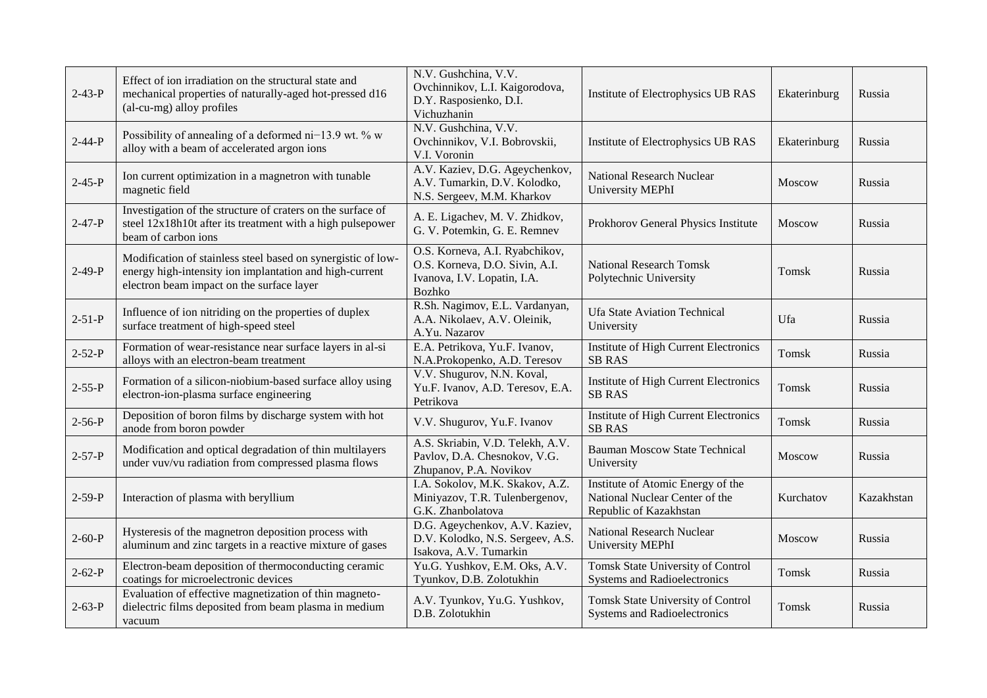| $2 - 43 - P$ | Effect of ion irradiation on the structural state and<br>mechanical properties of naturally-aged hot-pressed d16<br>(al-cu-mg) alloy profiles                        | N.V. Gushchina, V.V.<br>Ovchinnikov, L.I. Kaigorodova,<br>D.Y. Rasposienko, D.I.<br>Vichuzhanin                  | Institute of Electrophysics UB RAS                                                            | Ekaterinburg  | Russia     |
|--------------|----------------------------------------------------------------------------------------------------------------------------------------------------------------------|------------------------------------------------------------------------------------------------------------------|-----------------------------------------------------------------------------------------------|---------------|------------|
| $2 - 44 - P$ | Possibility of annealing of a deformed ni-13.9 wt. % w<br>alloy with a beam of accelerated argon ions                                                                | N.V. Gushchina, V.V.<br>Ovchinnikov, V.I. Bobrovskii,<br>V.I. Voronin                                            | Institute of Electrophysics UB RAS                                                            | Ekaterinburg  | Russia     |
| $2 - 45 - P$ | Ion current optimization in a magnetron with tunable<br>magnetic field                                                                                               | A.V. Kaziev, D.G. Ageychenkov,<br>A.V. Tumarkin, D.V. Kolodko,<br>N.S. Sergeev, M.M. Kharkov                     | <b>National Research Nuclear</b><br><b>University MEPhI</b>                                   | Moscow        | Russia     |
| $2 - 47 - P$ | Investigation of the structure of craters on the surface of<br>steel 12x18h10t after its treatment with a high pulsepower<br>beam of carbon ions                     | A. E. Ligachev, M. V. Zhidkov,<br>G. V. Potemkin, G. E. Remnev                                                   | Prokhorov General Physics Institute                                                           | Moscow        | Russia     |
| $2-49-P$     | Modification of stainless steel based on synergistic of low-<br>energy high-intensity ion implantation and high-current<br>electron beam impact on the surface layer | O.S. Korneva, A.I. Ryabchikov,<br>O.S. Korneva, D.O. Sivin, A.I.<br>Ivanova, I.V. Lopatin, I.A.<br><b>Bozhko</b> | <b>National Research Tomsk</b><br>Polytechnic University                                      | Tomsk         | Russia     |
| $2 - 51 - P$ | Influence of ion nitriding on the properties of duplex<br>surface treatment of high-speed steel                                                                      | R.Sh. Nagimov, E.L. Vardanyan,<br>A.A. Nikolaev, A.V. Oleinik,<br>A.Yu. Nazarov                                  | <b>Ufa State Aviation Technical</b><br>University                                             | Ufa           | Russia     |
| $2 - 52 - P$ | Formation of wear-resistance near surface layers in al-si<br>alloys with an electron-beam treatment                                                                  | E.A. Petrikova, Yu.F. Ivanov,<br>N.A.Prokopenko, A.D. Teresov                                                    | Institute of High Current Electronics<br><b>SB RAS</b>                                        | Tomsk         | Russia     |
| $2 - 55 - P$ | Formation of a silicon-niobium-based surface alloy using<br>electron-ion-plasma surface engineering                                                                  | V.V. Shugurov, N.N. Koval,<br>Yu.F. Ivanov, A.D. Teresov, E.A.<br>Petrikova                                      | Institute of High Current Electronics<br><b>SB RAS</b>                                        | Tomsk         | Russia     |
| $2 - 56 - P$ | Deposition of boron films by discharge system with hot<br>anode from boron powder                                                                                    | V.V. Shugurov, Yu.F. Ivanov                                                                                      | Institute of High Current Electronics<br><b>SB RAS</b>                                        | Tomsk         | Russia     |
| $2 - 57 - P$ | Modification and optical degradation of thin multilayers<br>under vuv/vu radiation from compressed plasma flows                                                      | A.S. Skriabin, V.D. Telekh, A.V.<br>Pavlov, D.A. Chesnokov, V.G.<br>Zhupanov, P.A. Novikov                       | <b>Bauman Moscow State Technical</b><br>University                                            | <b>Moscow</b> | Russia     |
| $2 - 59 - P$ | Interaction of plasma with beryllium                                                                                                                                 | I.A. Sokolov, M.K. Skakov, A.Z.<br>Miniyazov, T.R. Tulenbergenov,<br>G.K. Zhanbolatova                           | Institute of Atomic Energy of the<br>National Nuclear Center of the<br>Republic of Kazakhstan | Kurchatov     | Kazakhstan |
| $2 - 60 - P$ | Hysteresis of the magnetron deposition process with<br>aluminum and zinc targets in a reactive mixture of gases                                                      | D.G. Ageychenkov, A.V. Kaziev,<br>D.V. Kolodko, N.S. Sergeev, A.S.<br>Isakova, A.V. Tumarkin                     | <b>National Research Nuclear</b><br>University MEPhI                                          | Moscow        | Russia     |
| $2 - 62 - P$ | Electron-beam deposition of thermoconducting ceramic<br>coatings for microelectronic devices                                                                         | Yu.G. Yushkov, E.M. Oks, A.V.<br>Tyunkov, D.B. Zolotukhin                                                        | Tomsk State University of Control<br><b>Systems and Radioelectronics</b>                      | Tomsk         | Russia     |
| $2 - 63 - P$ | Evaluation of effective magnetization of thin magneto-<br>dielectric films deposited from beam plasma in medium<br>vacuum                                            | A.V. Tyunkov, Yu.G. Yushkov,<br>D.B. Zolotukhin                                                                  | Tomsk State University of Control<br><b>Systems and Radioelectronics</b>                      | Tomsk         | Russia     |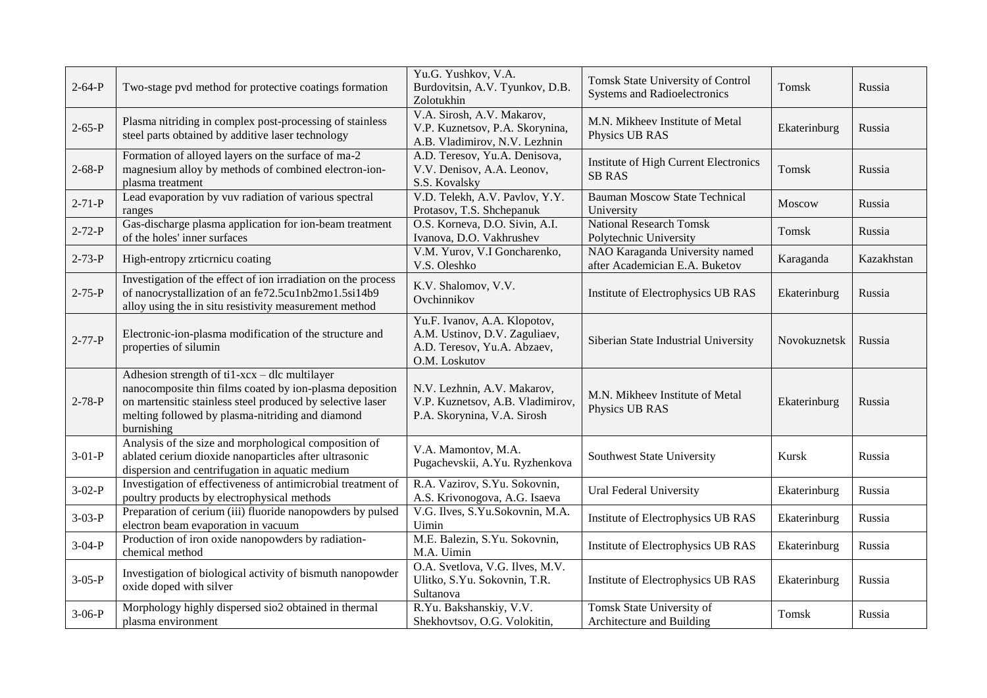| $2 - 64 - P$ | Two-stage pvd method for protective coatings formation                                                                                                                                                                                    | Yu.G. Yushkov, V.A.<br>Burdovitsin, A.V. Tyunkov, D.B.<br>Zolotukhin                                          | Tomsk State University of Control<br><b>Systems and Radioelectronics</b> | Tomsk        | Russia     |
|--------------|-------------------------------------------------------------------------------------------------------------------------------------------------------------------------------------------------------------------------------------------|---------------------------------------------------------------------------------------------------------------|--------------------------------------------------------------------------|--------------|------------|
| $2 - 65 - P$ | Plasma nitriding in complex post-processing of stainless<br>steel parts obtained by additive laser technology                                                                                                                             | V.A. Sirosh, A.V. Makarov,<br>V.P. Kuznetsov, P.A. Skorynina,<br>A.B. Vladimirov, N.V. Lezhnin                | M.N. Mikheev Institute of Metal<br>Physics UB RAS                        | Ekaterinburg | Russia     |
| $2 - 68 - P$ | Formation of alloyed layers on the surface of ma-2<br>magnesium alloy by methods of combined electron-ion-<br>plasma treatment                                                                                                            | A.D. Teresov, Yu.A. Denisova,<br>V.V. Denisov, A.A. Leonov,<br>S.S. Kovalsky                                  | Institute of High Current Electronics<br><b>SB RAS</b>                   | Tomsk        | Russia     |
| $2 - 71 - P$ | Lead evaporation by vuv radiation of various spectral<br>ranges                                                                                                                                                                           | V.D. Telekh, A.V. Pavlov, Y.Y.<br>Protasov, T.S. Shchepanuk                                                   | <b>Bauman Moscow State Technical</b><br>University                       | Moscow       | Russia     |
| $2 - 72 - P$ | Gas-discharge plasma application for ion-beam treatment<br>of the holes' inner surfaces                                                                                                                                                   | O.S. Korneva, D.O. Sivin, A.I.<br>Ivanova, D.O. Vakhrushev                                                    | <b>National Research Tomsk</b><br>Polytechnic University                 | Tomsk        | Russia     |
| $2 - 73 - P$ | High-entropy zrticrnicu coating                                                                                                                                                                                                           | V.M. Yurov, V.I Goncharenko,<br>V.S. Oleshko                                                                  | NAO Karaganda University named<br>after Academician E.A. Buketov         | Karaganda    | Kazakhstan |
| $2 - 75 - P$ | Investigation of the effect of ion irradiation on the process<br>of nanocrystallization of an fe72.5cu1nb2mo1.5si14b9<br>alloy using the in situ resistivity measurement method                                                           | K.V. Shalomov, V.V.<br>Ovchinnikov                                                                            | Institute of Electrophysics UB RAS                                       | Ekaterinburg | Russia     |
| $2 - 77 - P$ | Electronic-ion-plasma modification of the structure and<br>properties of silumin                                                                                                                                                          | Yu.F. Ivanov, A.A. Klopotov,<br>A.M. Ustinov, D.V. Zaguliaev,<br>A.D. Teresov, Yu.A. Abzaev,<br>O.M. Loskutov | Siberian State Industrial University                                     | Novokuznetsk | Russia     |
| $2 - 78 - P$ | Adhesion strength of ti1-xcx - dlc multilayer<br>nanocomposite thin films coated by ion-plasma deposition<br>on martensitic stainless steel produced by selective laser<br>melting followed by plasma-nitriding and diamond<br>burnishing | N.V. Lezhnin, A.V. Makarov,<br>V.P. Kuznetsov, A.B. Vladimirov,<br>P.A. Skorynina, V.A. Sirosh                | M.N. Mikheev Institute of Metal<br>Physics UB RAS                        | Ekaterinburg | Russia     |
| $3-01-P$     | Analysis of the size and morphological composition of<br>ablated cerium dioxide nanoparticles after ultrasonic<br>dispersion and centrifugation in aquatic medium                                                                         | V.A. Mamontov, M.A.<br>Pugachevskii, A.Yu. Ryzhenkova                                                         | Southwest State University                                               | Kursk        | Russia     |
| $3-02-P$     | Investigation of effectiveness of antimicrobial treatment of<br>poultry products by electrophysical methods                                                                                                                               | R.A. Vazirov, S.Yu. Sokovnin,<br>A.S. Krivonogova, A.G. Isaeva                                                | Ural Federal University                                                  | Ekaterinburg | Russia     |
| $3-03-P$     | Preparation of cerium (iii) fluoride nanopowders by pulsed<br>electron beam evaporation in vacuum                                                                                                                                         | V.G. Ilves, S.Yu.Sokovnin, M.A.<br>Uimin                                                                      | Institute of Electrophysics UB RAS                                       | Ekaterinburg | Russia     |
| $3-04-P$     | Production of iron oxide nanopowders by radiation-<br>chemical method                                                                                                                                                                     | M.E. Balezin, S.Yu. Sokovnin,<br>M.A. Uimin                                                                   | Institute of Electrophysics UB RAS                                       | Ekaterinburg | Russia     |
| $3-05-P$     | Investigation of biological activity of bismuth nanopowder<br>oxide doped with silver                                                                                                                                                     | O.A. Svetlova, V.G. Ilves, M.V.<br>Ulitko, S.Yu. Sokovnin, T.R.<br>Sultanova                                  | Institute of Electrophysics UB RAS                                       | Ekaterinburg | Russia     |
| $3-06-P$     | Morphology highly dispersed sio2 obtained in thermal<br>plasma environment                                                                                                                                                                | R.Yu. Bakshanskiy, V.V.<br>Shekhovtsov, O.G. Volokitin,                                                       | Tomsk State University of<br>Architecture and Building                   | Tomsk        | Russia     |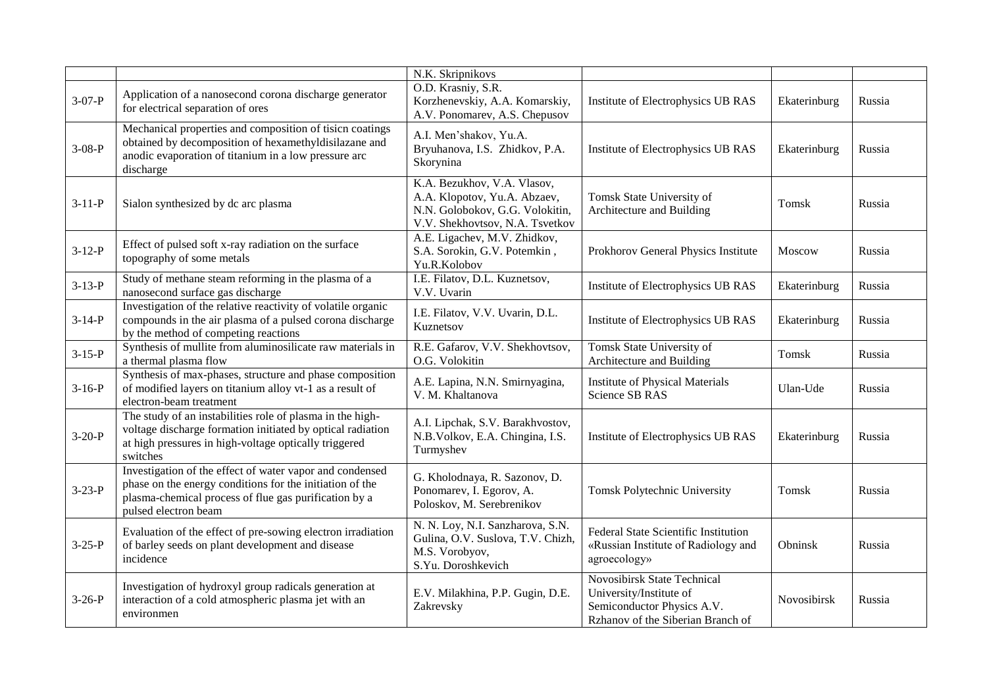|              |                                                                                                                                                                                                       | N.K. Skripnikovs                                                                                                                  |                                                                                                                                  |              |        |
|--------------|-------------------------------------------------------------------------------------------------------------------------------------------------------------------------------------------------------|-----------------------------------------------------------------------------------------------------------------------------------|----------------------------------------------------------------------------------------------------------------------------------|--------------|--------|
| $3-07-P$     | Application of a nanosecond corona discharge generator<br>for electrical separation of ores                                                                                                           | O.D. Krasniy, S.R.<br>Korzhenevskiy, A.A. Komarskiy,<br>A.V. Ponomarev, A.S. Chepusov                                             | Institute of Electrophysics UB RAS                                                                                               | Ekaterinburg | Russia |
| $3-08-P$     | Mechanical properties and composition of tisicn coatings<br>obtained by decomposition of hexamethyldisilazane and<br>anodic evaporation of titanium in a low pressure arc<br>discharge                | A.I. Men'shakov, Yu.A.<br>Bryuhanova, I.S. Zhidkov, P.A.<br>Skorynina                                                             | Institute of Electrophysics UB RAS                                                                                               | Ekaterinburg | Russia |
| $3-11-P$     | Sialon synthesized by dc arc plasma                                                                                                                                                                   | K.A. Bezukhov, V.A. Vlasov,<br>A.A. Klopotov, Yu.A. Abzaev,<br>N.N. Golobokov, G.G. Volokitin,<br>V.V. Shekhovtsov, N.A. Tsvetkov | Tomsk State University of<br>Architecture and Building                                                                           | Tomsk        | Russia |
| $3-12-P$     | Effect of pulsed soft x-ray radiation on the surface<br>topography of some metals                                                                                                                     | A.E. Ligachev, M.V. Zhidkov,<br>S.A. Sorokin, G.V. Potemkin,<br>Yu.R.Kolobov                                                      | Prokhorov General Physics Institute                                                                                              | Moscow       | Russia |
| $3-13-P$     | Study of methane steam reforming in the plasma of a<br>nanosecond surface gas discharge                                                                                                               | I.E. Filatov, D.L. Kuznetsov,<br>V.V. Uvarin                                                                                      | Institute of Electrophysics UB RAS                                                                                               | Ekaterinburg | Russia |
| $3-14-P$     | Investigation of the relative reactivity of volatile organic<br>compounds in the air plasma of a pulsed corona discharge<br>by the method of competing reactions                                      | I.E. Filatov, V.V. Uvarin, D.L.<br>Kuznetsov                                                                                      | Institute of Electrophysics UB RAS                                                                                               | Ekaterinburg | Russia |
| $3-15-P$     | Synthesis of mullite from aluminosilicate raw materials in<br>a thermal plasma flow                                                                                                                   | R.E. Gafarov, V.V. Shekhovtsov,<br>O.G. Volokitin                                                                                 | <b>Tomsk State University of</b><br>Architecture and Building                                                                    | Tomsk        | Russia |
| $3-16-P$     | Synthesis of max-phases, structure and phase composition<br>of modified layers on titanium alloy vt-1 as a result of<br>electron-beam treatment                                                       | A.E. Lapina, N.N. Smirnyagina,<br>V. M. Khaltanova                                                                                | <b>Institute of Physical Materials</b><br><b>Science SB RAS</b>                                                                  | Ulan-Ude     | Russia |
| $3-20-P$     | The study of an instabilities role of plasma in the high-<br>voltage discharge formation initiated by optical radiation<br>at high pressures in high-voltage optically triggered<br>switches          | A.I. Lipchak, S.V. Barakhvostov,<br>N.B.Volkov, E.A. Chingina, I.S.<br>Turmyshev                                                  | Institute of Electrophysics UB RAS                                                                                               | Ekaterinburg | Russia |
| $3 - 23 - P$ | Investigation of the effect of water vapor and condensed<br>phase on the energy conditions for the initiation of the<br>plasma-chemical process of flue gas purification by a<br>pulsed electron beam | G. Kholodnaya, R. Sazonov, D.<br>Ponomarev, I. Egorov, A.<br>Poloskov, M. Serebrenikov                                            | Tomsk Polytechnic University                                                                                                     | Tomsk        | Russia |
| $3 - 25 - P$ | Evaluation of the effect of pre-sowing electron irradiation<br>of barley seeds on plant development and disease<br>incidence                                                                          | N. N. Loy, N.I. Sanzharova, S.N.<br>Gulina, O.V. Suslova, T.V. Chizh,<br>M.S. Vorobyov,<br>S.Yu. Doroshkevich                     | Federal State Scientific Institution<br>«Russian Institute of Radiology and<br>agroecology»                                      | Obninsk      | Russia |
| $3-26-P$     | Investigation of hydroxyl group radicals generation at<br>interaction of a cold atmospheric plasma jet with an<br>environmen                                                                          | E.V. Milakhina, P.P. Gugin, D.E.<br>Zakrevsky                                                                                     | <b>Novosibirsk State Technical</b><br>University/Institute of<br>Semiconductor Physics A.V.<br>Rzhanov of the Siberian Branch of | Novosibirsk  | Russia |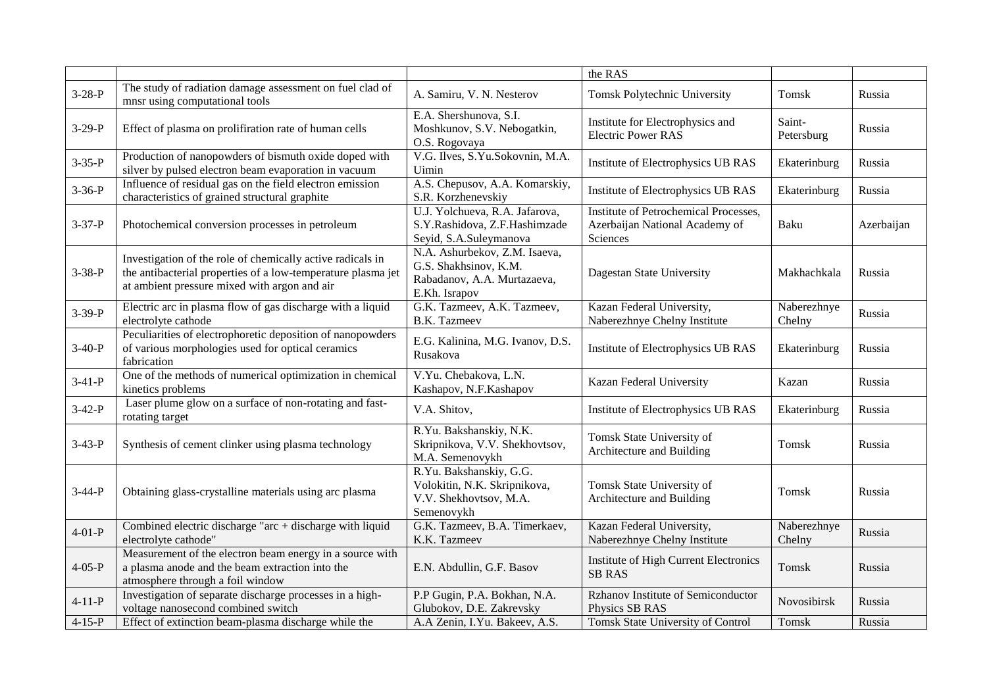|              |                                                                                                                                                                            |                                                                                                        | the RAS                                                                             |                       |            |
|--------------|----------------------------------------------------------------------------------------------------------------------------------------------------------------------------|--------------------------------------------------------------------------------------------------------|-------------------------------------------------------------------------------------|-----------------------|------------|
| $3-28-P$     | The study of radiation damage assessment on fuel clad of<br>mnsr using computational tools                                                                                 | A. Samiru, V. N. Nesterov                                                                              | Tomsk Polytechnic University                                                        | Tomsk                 | Russia     |
| $3-29-P$     | Effect of plasma on prolifiration rate of human cells                                                                                                                      | E.A. Shershunova, S.I.<br>Moshkunov, S.V. Nebogatkin,<br>O.S. Rogovaya                                 | Institute for Electrophysics and<br><b>Electric Power RAS</b>                       | Saint-<br>Petersburg  | Russia     |
| $3 - 35 - P$ | Production of nanopowders of bismuth oxide doped with<br>silver by pulsed electron beam evaporation in vacuum                                                              | V.G. Ilves, S.Yu.Sokovnin, M.A.<br>Uimin                                                               | Institute of Electrophysics UB RAS                                                  | Ekaterinburg          | Russia     |
| $3 - 36 - P$ | Influence of residual gas on the field electron emission<br>characteristics of grained structural graphite                                                                 | A.S. Chepusov, A.A. Komarskiy,<br>S.R. Korzhenevskiy                                                   | Institute of Electrophysics UB RAS                                                  | Ekaterinburg          | Russia     |
| $3-37-P$     | Photochemical conversion processes in petroleum                                                                                                                            | U.J. Yolchueva, R.A. Jafarova,<br>S.Y.Rashidova, Z.F.Hashimzade<br>Seyid, S.A.Suleymanova              | Institute of Petrochemical Processes,<br>Azerbaijan National Academy of<br>Sciences | Baku                  | Azerbaijan |
| $3 - 38 - P$ | Investigation of the role of chemically active radicals in<br>the antibacterial properties of a low-temperature plasma jet<br>at ambient pressure mixed with argon and air | N.A. Ashurbekov, Z.M. Isaeva,<br>G.S. Shakhsinov, K.M.<br>Rabadanov, A.A. Murtazaeva,<br>E.Kh. Israpov | Dagestan State University                                                           | Makhachkala           | Russia     |
| $3 - 39 - P$ | Electric arc in plasma flow of gas discharge with a liquid<br>electrolyte cathode                                                                                          | G.K. Tazmeev, A.K. Tazmeev,<br><b>B.K.</b> Tazmeev                                                     | Kazan Federal University,<br>Naberezhnye Chelny Institute                           | Naberezhnye<br>Chelny | Russia     |
| $3-40-P$     | Peculiarities of electrophoretic deposition of nanopowders<br>of various morphologies used for optical ceramics<br>fabrication                                             | E.G. Kalinina, M.G. Ivanov, D.S.<br>Rusakova                                                           | Institute of Electrophysics UB RAS                                                  | Ekaterinburg          | Russia     |
| $3-41-P$     | One of the methods of numerical optimization in chemical<br>kinetics problems                                                                                              | V.Yu. Chebakova, L.N.<br>Kashapov, N.F.Kashapov                                                        | Kazan Federal University                                                            | Kazan                 | Russia     |
| $3-42-P$     | Laser plume glow on a surface of non-rotating and fast-<br>rotating target                                                                                                 | V.A. Shitov,                                                                                           | Institute of Electrophysics UB RAS                                                  | Ekaterinburg          | Russia     |
| $3-43-P$     | Synthesis of cement clinker using plasma technology                                                                                                                        | R.Yu. Bakshanskiy, N.K.<br>Skripnikova, V.V. Shekhovtsov,<br>M.A. Semenovykh                           | Tomsk State University of<br>Architecture and Building                              | Tomsk                 | Russia     |
| $3-44-P$     | Obtaining glass-crystalline materials using arc plasma                                                                                                                     | R.Yu. Bakshanskiy, G.G.<br>Volokitin, N.K. Skripnikova,<br>V.V. Shekhovtsov, M.A.<br>Semenovykh        | Tomsk State University of<br>Architecture and Building                              | Tomsk                 | Russia     |
| $4-01-P$     | Combined electric discharge "arc + discharge with liquid<br>electrolyte cathode"                                                                                           | G.K. Tazmeev, B.A. Timerkaev,<br>K.K. Tazmeev                                                          | Kazan Federal University,<br>Naberezhnye Chelny Institute                           | Naberezhnye<br>Chelny | Russia     |
| $4 - 05 - P$ | Measurement of the electron beam energy in a source with<br>a plasma anode and the beam extraction into the<br>atmosphere through a foil window                            | E.N. Abdullin, G.F. Basov                                                                              | <b>Institute of High Current Electronics</b><br><b>SB RAS</b>                       | Tomsk                 | Russia     |
| $4 - 11 - P$ | Investigation of separate discharge processes in a high-<br>voltage nanosecond combined switch                                                                             | P.P Gugin, P.A. Bokhan, N.A.<br>Glubokov, D.E. Zakrevsky                                               | Rzhanov Institute of Semiconductor<br>Physics SB RAS                                | Novosibirsk           | Russia     |
| $4 - 15 - P$ | Effect of extinction beam-plasma discharge while the                                                                                                                       | A.A Zenin, I.Yu. Bakeev, A.S.                                                                          | <b>Tomsk State University of Control</b>                                            | Tomsk                 | Russia     |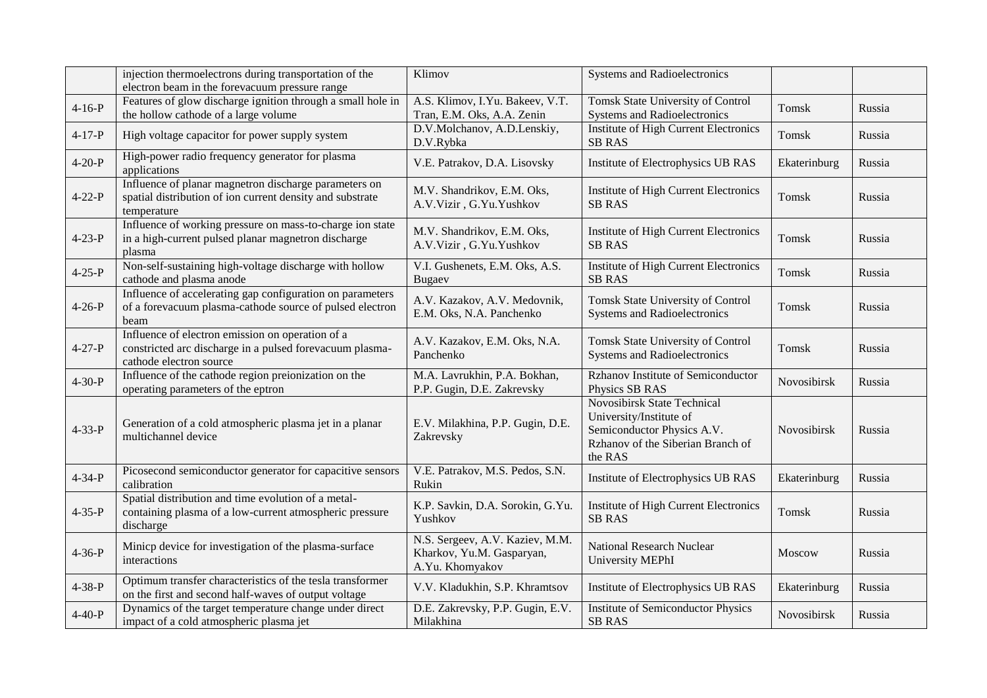|              | injection thermoelectrons during transportation of the<br>electron beam in the forevacuum pressure range                                | Klimov                                                                          | <b>Systems and Radioelectronics</b>                                                                                                         |              |        |
|--------------|-----------------------------------------------------------------------------------------------------------------------------------------|---------------------------------------------------------------------------------|---------------------------------------------------------------------------------------------------------------------------------------------|--------------|--------|
| $4 - 16 - P$ | Features of glow discharge ignition through a small hole in<br>the hollow cathode of a large volume                                     | A.S. Klimov, I.Yu. Bakeev, V.T.<br>Tran, E.M. Oks, A.A. Zenin                   | Tomsk State University of Control<br><b>Systems and Radioelectronics</b>                                                                    | Tomsk        | Russia |
| $4 - 17 - P$ | High voltage capacitor for power supply system                                                                                          | D.V.Molchanov, A.D.Lenskiy,<br>D.V.Rybka                                        | <b>Institute of High Current Electronics</b><br><b>SB RAS</b>                                                                               | Tomsk        | Russia |
| $4 - 20 - P$ | High-power radio frequency generator for plasma<br>applications                                                                         | V.E. Patrakov, D.A. Lisovsky                                                    | Institute of Electrophysics UB RAS                                                                                                          | Ekaterinburg | Russia |
| $4 - 22 - P$ | Influence of planar magnetron discharge parameters on<br>spatial distribution of ion current density and substrate<br>temperature       | M.V. Shandrikov, E.M. Oks,<br>A.V.Vizir, G.Yu.Yushkov                           | Institute of High Current Electronics<br><b>SB RAS</b>                                                                                      | Tomsk        | Russia |
| $4 - 23 - P$ | Influence of working pressure on mass-to-charge ion state<br>in a high-current pulsed planar magnetron discharge<br>plasma              | M.V. Shandrikov, E.M. Oks,<br>A.V.Vizir, G.Yu.Yushkov                           | Institute of High Current Electronics<br><b>SB RAS</b>                                                                                      | Tomsk        | Russia |
| $4 - 25 - P$ | Non-self-sustaining high-voltage discharge with hollow<br>cathode and plasma anode                                                      | V.I. Gushenets, E.M. Oks, A.S.<br>Bugaev                                        | Institute of High Current Electronics<br><b>SB RAS</b>                                                                                      | <b>Tomsk</b> | Russia |
| $4 - 26 - P$ | Influence of accelerating gap configuration on parameters<br>of a forevacuum plasma-cathode source of pulsed electron<br>beam           | A.V. Kazakov, A.V. Medovnik,<br>E.M. Oks, N.A. Panchenko                        | Tomsk State University of Control<br><b>Systems and Radioelectronics</b>                                                                    | Tomsk        | Russia |
| $4 - 27 - P$ | Influence of electron emission on operation of a<br>constricted arc discharge in a pulsed forevacuum plasma-<br>cathode electron source | A.V. Kazakov, E.M. Oks, N.A.<br>Panchenko                                       | Tomsk State University of Control<br><b>Systems and Radioelectronics</b>                                                                    | Tomsk        | Russia |
| $4 - 30 - P$ | Influence of the cathode region preionization on the<br>operating parameters of the eptron                                              | M.A. Lavrukhin, P.A. Bokhan,<br>P.P. Gugin, D.E. Zakrevsky                      | Rzhanov Institute of Semiconductor<br>Physics SB RAS                                                                                        | Novosibirsk  | Russia |
| $4 - 33 - P$ | Generation of a cold atmospheric plasma jet in a planar<br>multichannel device                                                          | E.V. Milakhina, P.P. Gugin, D.E.<br>Zakrevsky                                   | <b>Novosibirsk State Technical</b><br>University/Institute of<br>Semiconductor Physics A.V.<br>Rzhanov of the Siberian Branch of<br>the RAS | Novosibirsk  | Russia |
| $4 - 34 - P$ | Picosecond semiconductor generator for capacitive sensors<br>calibration                                                                | V.E. Patrakov, M.S. Pedos, S.N.<br>Rukin                                        | Institute of Electrophysics UB RAS                                                                                                          | Ekaterinburg | Russia |
| $4 - 35 - P$ | Spatial distribution and time evolution of a metal-<br>containing plasma of a low-current atmospheric pressure<br>discharge             | K.P. Savkin, D.A. Sorokin, G.Yu.<br>Yushkov                                     | Institute of High Current Electronics<br><b>SB RAS</b>                                                                                      | Tomsk        | Russia |
| $4 - 36 - P$ | Minicp device for investigation of the plasma-surface<br>interactions                                                                   | N.S. Sergeev, A.V. Kaziev, M.M.<br>Kharkov, Yu.M. Gasparyan,<br>A.Yu. Khomyakov | <b>National Research Nuclear</b><br>University MEPhI                                                                                        | Moscow       | Russia |
| $4 - 38 - P$ | Optimum transfer characteristics of the tesla transformer<br>on the first and second half-waves of output voltage                       | V.V. Kladukhin, S.P. Khramtsov                                                  | Institute of Electrophysics UB RAS                                                                                                          | Ekaterinburg | Russia |
| $4 - 40 - P$ | Dynamics of the target temperature change under direct<br>impact of a cold atmospheric plasma jet                                       | D.E. Zakrevsky, P.P. Gugin, E.V.<br>Milakhina                                   | <b>Institute of Semiconductor Physics</b><br><b>SB RAS</b>                                                                                  | Novosibirsk  | Russia |